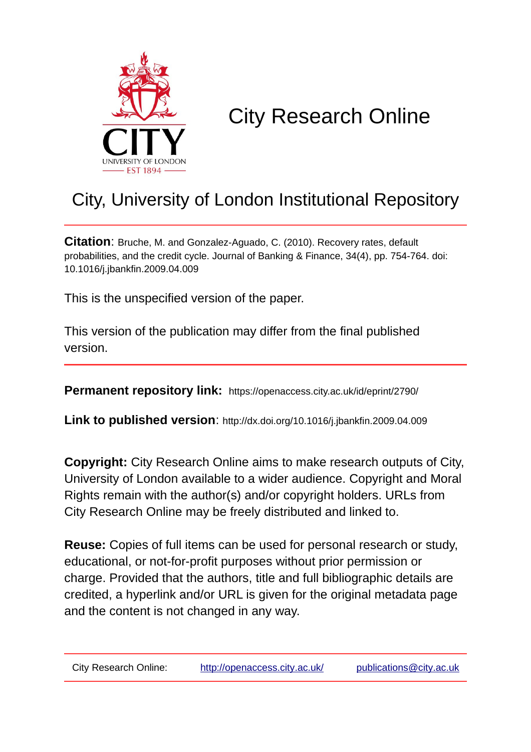

# City Research Online

## City, University of London Institutional Repository

**Citation**: Bruche, M. and Gonzalez-Aguado, C. (2010). Recovery rates, default probabilities, and the credit cycle. Journal of Banking & Finance, 34(4), pp. 754-764. doi: 10.1016/j.jbankfin.2009.04.009

This is the unspecified version of the paper.

This version of the publication may differ from the final published version.

**Permanent repository link:** https://openaccess.city.ac.uk/id/eprint/2790/

**Link to published version**: http://dx.doi.org/10.1016/j.jbankfin.2009.04.009

**Copyright:** City Research Online aims to make research outputs of City, University of London available to a wider audience. Copyright and Moral Rights remain with the author(s) and/or copyright holders. URLs from City Research Online may be freely distributed and linked to.

**Reuse:** Copies of full items can be used for personal research or study, educational, or not-for-profit purposes without prior permission or charge. Provided that the authors, title and full bibliographic details are credited, a hyperlink and/or URL is given for the original metadata page and the content is not changed in any way.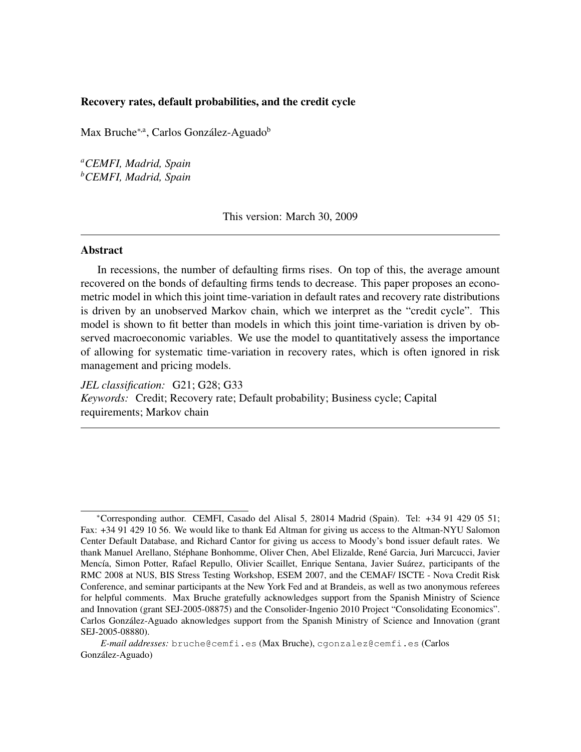#### Recovery rates, default probabilities, and the credit cycle

Max Bruche<sup>∗,a</sup>, Carlos González-Aguado<sup>b</sup>

*<sup>a</sup>CEMFI, Madrid, Spain <sup>b</sup>CEMFI, Madrid, Spain*

This version: March 30, 2009

#### Abstract

In recessions, the number of defaulting firms rises. On top of this, the average amount recovered on the bonds of defaulting firms tends to decrease. This paper proposes an econometric model in which this joint time-variation in default rates and recovery rate distributions is driven by an unobserved Markov chain, which we interpret as the "credit cycle". This model is shown to fit better than models in which this joint time-variation is driven by observed macroeconomic variables. We use the model to quantitatively assess the importance of allowing for systematic time-variation in recovery rates, which is often ignored in risk management and pricing models.

*JEL classification:* G21; G28; G33 *Keywords:* Credit; Recovery rate; Default probability; Business cycle; Capital requirements; Markov chain

<sup>∗</sup>Corresponding author. CEMFI, Casado del Alisal 5, 28014 Madrid (Spain). Tel: +34 91 429 05 51; Fax: +34 91 429 10 56. We would like to thank Ed Altman for giving us access to the Altman-NYU Salomon Center Default Database, and Richard Cantor for giving us access to Moody's bond issuer default rates. We thank Manuel Arellano, Stéphane Bonhomme, Oliver Chen, Abel Elizalde, René Garcia, Juri Marcucci, Javier Mencía, Simon Potter, Rafael Repullo, Olivier Scaillet, Enrique Sentana, Javier Suárez, participants of the RMC 2008 at NUS, BIS Stress Testing Workshop, ESEM 2007, and the CEMAF/ ISCTE - Nova Credit Risk Conference, and seminar participants at the New York Fed and at Brandeis, as well as two anonymous referees for helpful comments. Max Bruche gratefully acknowledges support from the Spanish Ministry of Science and Innovation (grant SEJ-2005-08875) and the Consolider-Ingenio 2010 Project "Consolidating Economics". Carlos Gonzalez-Aguado aknowledges support from the Spanish Ministry of Science and Innovation (grant ´ SEJ-2005-08880).

*E-mail addresses:* bruche@cemfi.es (Max Bruche), cgonzalez@cemfi.es (Carlos González-Aguado)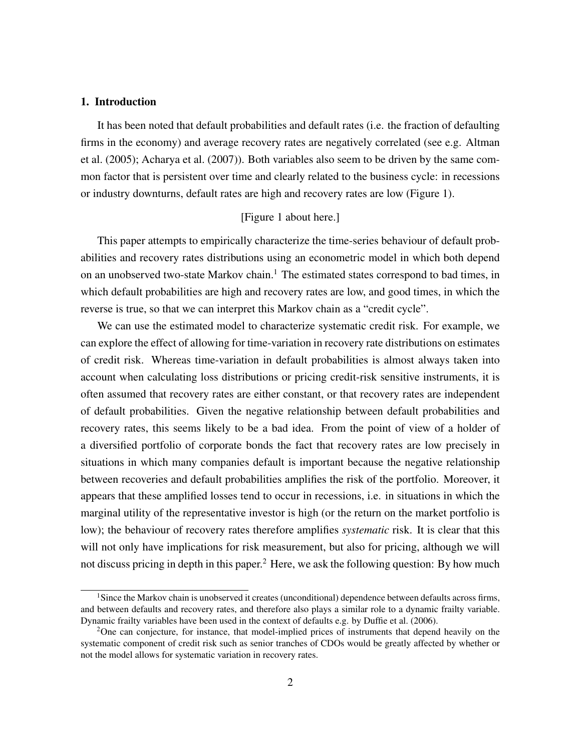#### 1. Introduction

It has been noted that default probabilities and default rates (i.e. the fraction of defaulting firms in the economy) and average recovery rates are negatively correlated (see e.g. Altman et al. (2005); Acharya et al. (2007)). Both variables also seem to be driven by the same common factor that is persistent over time and clearly related to the business cycle: in recessions or industry downturns, default rates are high and recovery rates are low (Figure 1).

#### [Figure 1 about here.]

This paper attempts to empirically characterize the time-series behaviour of default probabilities and recovery rates distributions using an econometric model in which both depend on an unobserved two-state Markov chain.<sup>1</sup> The estimated states correspond to bad times, in which default probabilities are high and recovery rates are low, and good times, in which the reverse is true, so that we can interpret this Markov chain as a "credit cycle".

We can use the estimated model to characterize systematic credit risk. For example, we can explore the effect of allowing for time-variation in recovery rate distributions on estimates of credit risk. Whereas time-variation in default probabilities is almost always taken into account when calculating loss distributions or pricing credit-risk sensitive instruments, it is often assumed that recovery rates are either constant, or that recovery rates are independent of default probabilities. Given the negative relationship between default probabilities and recovery rates, this seems likely to be a bad idea. From the point of view of a holder of a diversified portfolio of corporate bonds the fact that recovery rates are low precisely in situations in which many companies default is important because the negative relationship between recoveries and default probabilities amplifies the risk of the portfolio. Moreover, it appears that these amplified losses tend to occur in recessions, i.e. in situations in which the marginal utility of the representative investor is high (or the return on the market portfolio is low); the behaviour of recovery rates therefore amplifies *systematic* risk. It is clear that this will not only have implications for risk measurement, but also for pricing, although we will not discuss pricing in depth in this paper.<sup>2</sup> Here, we ask the following question: By how much

<sup>&</sup>lt;sup>1</sup>Since the Markov chain is unobserved it creates (unconditional) dependence between defaults across firms, and between defaults and recovery rates, and therefore also plays a similar role to a dynamic frailty variable. Dynamic frailty variables have been used in the context of defaults e.g. by Duffie et al. (2006).

<sup>&</sup>lt;sup>2</sup>One can conjecture, for instance, that model-implied prices of instruments that depend heavily on the systematic component of credit risk such as senior tranches of CDOs would be greatly affected by whether or not the model allows for systematic variation in recovery rates.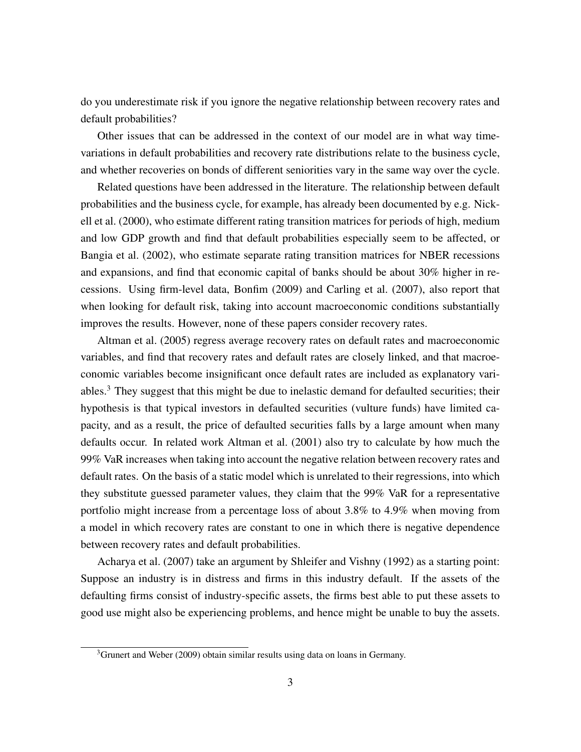do you underestimate risk if you ignore the negative relationship between recovery rates and default probabilities?

Other issues that can be addressed in the context of our model are in what way timevariations in default probabilities and recovery rate distributions relate to the business cycle, and whether recoveries on bonds of different seniorities vary in the same way over the cycle.

Related questions have been addressed in the literature. The relationship between default probabilities and the business cycle, for example, has already been documented by e.g. Nickell et al. (2000), who estimate different rating transition matrices for periods of high, medium and low GDP growth and find that default probabilities especially seem to be affected, or Bangia et al. (2002), who estimate separate rating transition matrices for NBER recessions and expansions, and find that economic capital of banks should be about 30% higher in recessions. Using firm-level data, Bonfim (2009) and Carling et al. (2007), also report that when looking for default risk, taking into account macroeconomic conditions substantially improves the results. However, none of these papers consider recovery rates.

Altman et al. (2005) regress average recovery rates on default rates and macroeconomic variables, and find that recovery rates and default rates are closely linked, and that macroeconomic variables become insignificant once default rates are included as explanatory variables.<sup>3</sup> They suggest that this might be due to inelastic demand for defaulted securities; their hypothesis is that typical investors in defaulted securities (vulture funds) have limited capacity, and as a result, the price of defaulted securities falls by a large amount when many defaults occur. In related work Altman et al. (2001) also try to calculate by how much the 99% VaR increases when taking into account the negative relation between recovery rates and default rates. On the basis of a static model which is unrelated to their regressions, into which they substitute guessed parameter values, they claim that the 99% VaR for a representative portfolio might increase from a percentage loss of about 3.8% to 4.9% when moving from a model in which recovery rates are constant to one in which there is negative dependence between recovery rates and default probabilities.

Acharya et al. (2007) take an argument by Shleifer and Vishny (1992) as a starting point: Suppose an industry is in distress and firms in this industry default. If the assets of the defaulting firms consist of industry-specific assets, the firms best able to put these assets to good use might also be experiencing problems, and hence might be unable to buy the assets.

 $3$ Grunert and Weber (2009) obtain similar results using data on loans in Germany.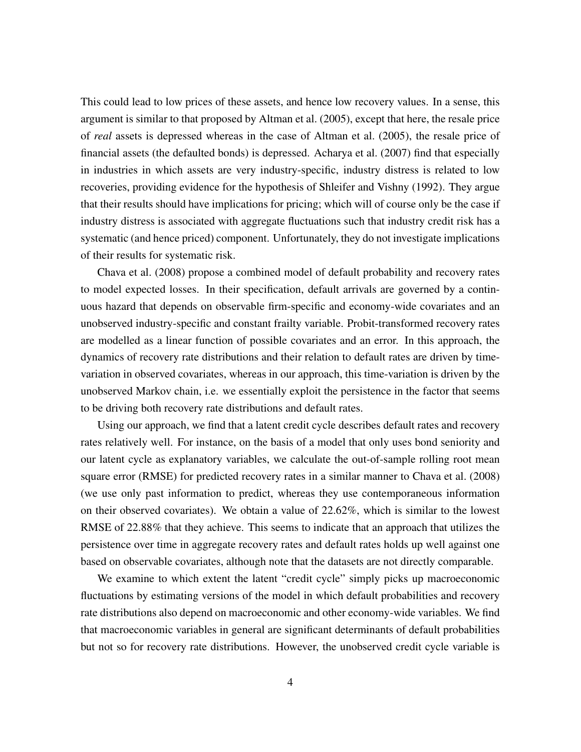This could lead to low prices of these assets, and hence low recovery values. In a sense, this argument is similar to that proposed by Altman et al. (2005), except that here, the resale price of *real* assets is depressed whereas in the case of Altman et al. (2005), the resale price of financial assets (the defaulted bonds) is depressed. Acharya et al. (2007) find that especially in industries in which assets are very industry-specific, industry distress is related to low recoveries, providing evidence for the hypothesis of Shleifer and Vishny (1992). They argue that their results should have implications for pricing; which will of course only be the case if industry distress is associated with aggregate fluctuations such that industry credit risk has a systematic (and hence priced) component. Unfortunately, they do not investigate implications of their results for systematic risk.

Chava et al. (2008) propose a combined model of default probability and recovery rates to model expected losses. In their specification, default arrivals are governed by a continuous hazard that depends on observable firm-specific and economy-wide covariates and an unobserved industry-specific and constant frailty variable. Probit-transformed recovery rates are modelled as a linear function of possible covariates and an error. In this approach, the dynamics of recovery rate distributions and their relation to default rates are driven by timevariation in observed covariates, whereas in our approach, this time-variation is driven by the unobserved Markov chain, i.e. we essentially exploit the persistence in the factor that seems to be driving both recovery rate distributions and default rates.

Using our approach, we find that a latent credit cycle describes default rates and recovery rates relatively well. For instance, on the basis of a model that only uses bond seniority and our latent cycle as explanatory variables, we calculate the out-of-sample rolling root mean square error (RMSE) for predicted recovery rates in a similar manner to Chava et al. (2008) (we use only past information to predict, whereas they use contemporaneous information on their observed covariates). We obtain a value of 22.62%, which is similar to the lowest RMSE of 22.88% that they achieve. This seems to indicate that an approach that utilizes the persistence over time in aggregate recovery rates and default rates holds up well against one based on observable covariates, although note that the datasets are not directly comparable.

We examine to which extent the latent "credit cycle" simply picks up macroeconomic fluctuations by estimating versions of the model in which default probabilities and recovery rate distributions also depend on macroeconomic and other economy-wide variables. We find that macroeconomic variables in general are significant determinants of default probabilities but not so for recovery rate distributions. However, the unobserved credit cycle variable is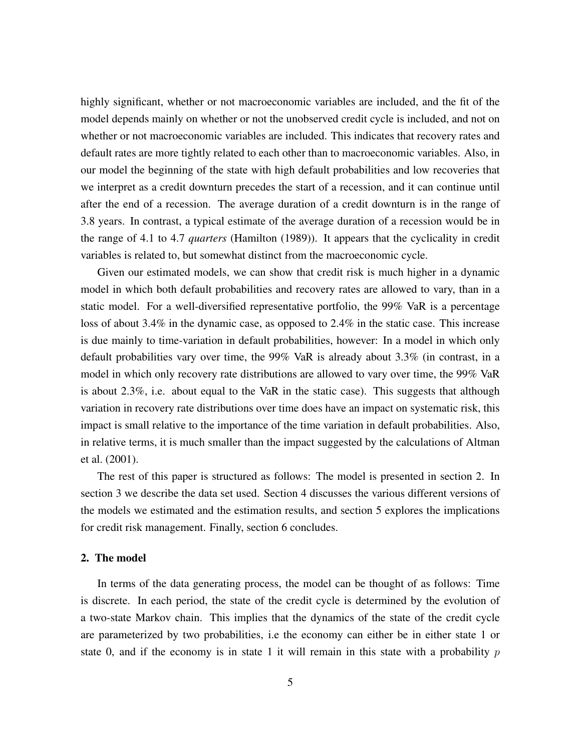highly significant, whether or not macroeconomic variables are included, and the fit of the model depends mainly on whether or not the unobserved credit cycle is included, and not on whether or not macroeconomic variables are included. This indicates that recovery rates and default rates are more tightly related to each other than to macroeconomic variables. Also, in our model the beginning of the state with high default probabilities and low recoveries that we interpret as a credit downturn precedes the start of a recession, and it can continue until after the end of a recession. The average duration of a credit downturn is in the range of 3.8 years. In contrast, a typical estimate of the average duration of a recession would be in the range of 4.1 to 4.7 *quarters* (Hamilton (1989)). It appears that the cyclicality in credit variables is related to, but somewhat distinct from the macroeconomic cycle.

Given our estimated models, we can show that credit risk is much higher in a dynamic model in which both default probabilities and recovery rates are allowed to vary, than in a static model. For a well-diversified representative portfolio, the 99% VaR is a percentage loss of about 3.4% in the dynamic case, as opposed to 2.4% in the static case. This increase is due mainly to time-variation in default probabilities, however: In a model in which only default probabilities vary over time, the 99% VaR is already about 3.3% (in contrast, in a model in which only recovery rate distributions are allowed to vary over time, the 99% VaR is about 2.3%, i.e. about equal to the VaR in the static case). This suggests that although variation in recovery rate distributions over time does have an impact on systematic risk, this impact is small relative to the importance of the time variation in default probabilities. Also, in relative terms, it is much smaller than the impact suggested by the calculations of Altman et al. (2001).

The rest of this paper is structured as follows: The model is presented in section 2. In section 3 we describe the data set used. Section 4 discusses the various different versions of the models we estimated and the estimation results, and section 5 explores the implications for credit risk management. Finally, section 6 concludes.

#### 2. The model

In terms of the data generating process, the model can be thought of as follows: Time is discrete. In each period, the state of the credit cycle is determined by the evolution of a two-state Markov chain. This implies that the dynamics of the state of the credit cycle are parameterized by two probabilities, i.e the economy can either be in either state 1 or state 0, and if the economy is in state 1 it will remain in this state with a probability  $p$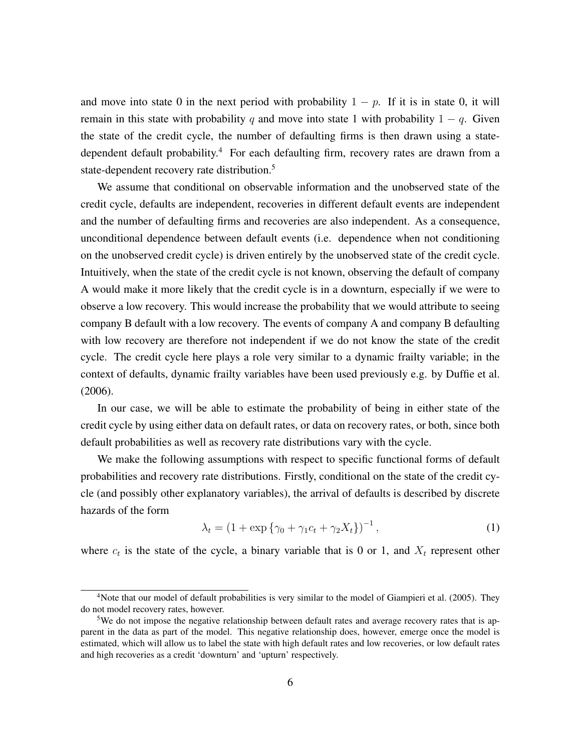and move into state 0 in the next period with probability  $1 - p$ . If it is in state 0, it will remain in this state with probability q and move into state 1 with probability  $1 - q$ . Given the state of the credit cycle, the number of defaulting firms is then drawn using a statedependent default probability.<sup>4</sup> For each defaulting firm, recovery rates are drawn from a state-dependent recovery rate distribution.<sup>5</sup>

We assume that conditional on observable information and the unobserved state of the credit cycle, defaults are independent, recoveries in different default events are independent and the number of defaulting firms and recoveries are also independent. As a consequence, unconditional dependence between default events (i.e. dependence when not conditioning on the unobserved credit cycle) is driven entirely by the unobserved state of the credit cycle. Intuitively, when the state of the credit cycle is not known, observing the default of company A would make it more likely that the credit cycle is in a downturn, especially if we were to observe a low recovery. This would increase the probability that we would attribute to seeing company B default with a low recovery. The events of company A and company B defaulting with low recovery are therefore not independent if we do not know the state of the credit cycle. The credit cycle here plays a role very similar to a dynamic frailty variable; in the context of defaults, dynamic frailty variables have been used previously e.g. by Duffie et al. (2006).

In our case, we will be able to estimate the probability of being in either state of the credit cycle by using either data on default rates, or data on recovery rates, or both, since both default probabilities as well as recovery rate distributions vary with the cycle.

We make the following assumptions with respect to specific functional forms of default probabilities and recovery rate distributions. Firstly, conditional on the state of the credit cycle (and possibly other explanatory variables), the arrival of defaults is described by discrete hazards of the form

$$
\lambda_t = (1 + \exp\{\gamma_0 + \gamma_1 c_t + \gamma_2 X_t\})^{-1},\tag{1}
$$

where  $c_t$  is the state of the cycle, a binary variable that is 0 or 1, and  $X_t$  represent other

<sup>&</sup>lt;sup>4</sup>Note that our model of default probabilities is very similar to the model of Giampieri et al. (2005). They do not model recovery rates, however.

<sup>&</sup>lt;sup>5</sup>We do not impose the negative relationship between default rates and average recovery rates that is apparent in the data as part of the model. This negative relationship does, however, emerge once the model is estimated, which will allow us to label the state with high default rates and low recoveries, or low default rates and high recoveries as a credit 'downturn' and 'upturn' respectively.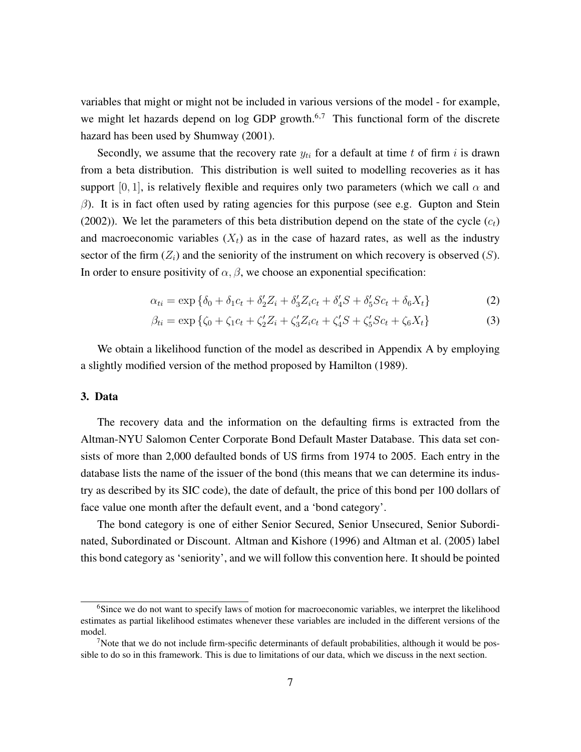variables that might or might not be included in various versions of the model - for example, we might let hazards depend on log GDP growth.<sup>6,7</sup> This functional form of the discrete hazard has been used by Shumway (2001).

Secondly, we assume that the recovery rate  $y_{ti}$  for a default at time t of firm i is drawn from a beta distribution. This distribution is well suited to modelling recoveries as it has support [0, 1], is relatively flexible and requires only two parameters (which we call  $\alpha$  and  $\beta$ ). It is in fact often used by rating agencies for this purpose (see e.g. Gupton and Stein (2002)). We let the parameters of this beta distribution depend on the state of the cycle  $(c_t)$ and macroeconomic variables  $(X_t)$  as in the case of hazard rates, as well as the industry sector of the firm  $(Z_i)$  and the seniority of the instrument on which recovery is observed (S). In order to ensure positivity of  $\alpha$ ,  $\beta$ , we choose an exponential specification:

$$
\alpha_{ti} = \exp \{ \delta_0 + \delta_1 c_t + \delta_2' Z_i + \delta_3' Z_i c_t + \delta_4' S + \delta_5' S c_t + \delta_6 X_t \} \tag{2}
$$

$$
\beta_{ti} = \exp \left\{ \zeta_0 + \zeta_1 c_t + \zeta_2' Z_i + \zeta_3' Z_i c_t + \zeta_4' S + \zeta_5' S c_t + \zeta_6 X_t \right\} \tag{3}
$$

We obtain a likelihood function of the model as described in Appendix A by employing a slightly modified version of the method proposed by Hamilton (1989).

#### 3. Data

The recovery data and the information on the defaulting firms is extracted from the Altman-NYU Salomon Center Corporate Bond Default Master Database. This data set consists of more than 2,000 defaulted bonds of US firms from 1974 to 2005. Each entry in the database lists the name of the issuer of the bond (this means that we can determine its industry as described by its SIC code), the date of default, the price of this bond per 100 dollars of face value one month after the default event, and a 'bond category'.

The bond category is one of either Senior Secured, Senior Unsecured, Senior Subordinated, Subordinated or Discount. Altman and Kishore (1996) and Altman et al. (2005) label this bond category as 'seniority', and we will follow this convention here. It should be pointed

<sup>&</sup>lt;sup>6</sup>Since we do not want to specify laws of motion for macroeconomic variables, we interpret the likelihood estimates as partial likelihood estimates whenever these variables are included in the different versions of the model.

<sup>&</sup>lt;sup>7</sup>Note that we do not include firm-specific determinants of default probabilities, although it would be possible to do so in this framework. This is due to limitations of our data, which we discuss in the next section.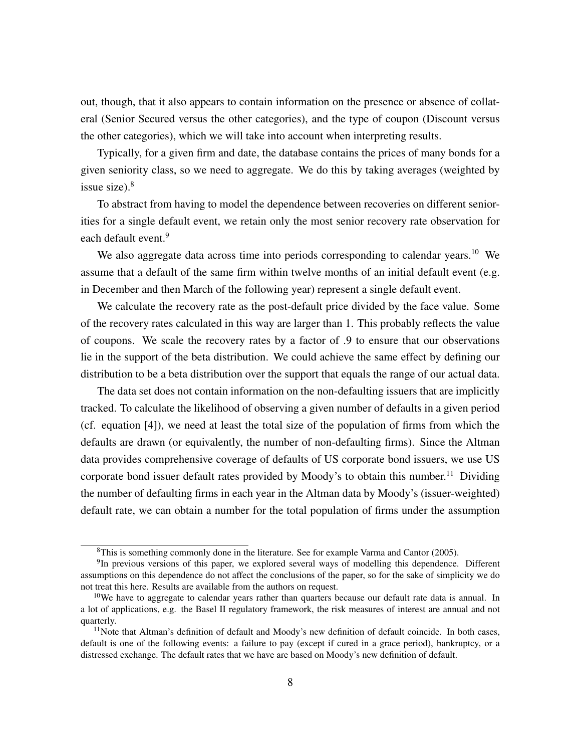out, though, that it also appears to contain information on the presence or absence of collateral (Senior Secured versus the other categories), and the type of coupon (Discount versus the other categories), which we will take into account when interpreting results.

Typically, for a given firm and date, the database contains the prices of many bonds for a given seniority class, so we need to aggregate. We do this by taking averages (weighted by issue size). $8$ 

To abstract from having to model the dependence between recoveries on different seniorities for a single default event, we retain only the most senior recovery rate observation for each default event.<sup>9</sup>

We also aggregate data across time into periods corresponding to calendar years.<sup>10</sup> We assume that a default of the same firm within twelve months of an initial default event (e.g. in December and then March of the following year) represent a single default event.

We calculate the recovery rate as the post-default price divided by the face value. Some of the recovery rates calculated in this way are larger than 1. This probably reflects the value of coupons. We scale the recovery rates by a factor of .9 to ensure that our observations lie in the support of the beta distribution. We could achieve the same effect by defining our distribution to be a beta distribution over the support that equals the range of our actual data.

The data set does not contain information on the non-defaulting issuers that are implicitly tracked. To calculate the likelihood of observing a given number of defaults in a given period (cf. equation [4]), we need at least the total size of the population of firms from which the defaults are drawn (or equivalently, the number of non-defaulting firms). Since the Altman data provides comprehensive coverage of defaults of US corporate bond issuers, we use US corporate bond issuer default rates provided by Moody's to obtain this number.<sup>11</sup> Dividing the number of defaulting firms in each year in the Altman data by Moody's (issuer-weighted) default rate, we can obtain a number for the total population of firms under the assumption

 $8$ This is something commonly done in the literature. See for example Varma and Cantor (2005).

<sup>&</sup>lt;sup>9</sup>In previous versions of this paper, we explored several ways of modelling this dependence. Different assumptions on this dependence do not affect the conclusions of the paper, so for the sake of simplicity we do not treat this here. Results are available from the authors on request.

<sup>&</sup>lt;sup>10</sup>We have to aggregate to calendar years rather than quarters because our default rate data is annual. In a lot of applications, e.g. the Basel II regulatory framework, the risk measures of interest are annual and not quarterly.

<sup>&</sup>lt;sup>11</sup>Note that Altman's definition of default and Moody's new definition of default coincide. In both cases, default is one of the following events: a failure to pay (except if cured in a grace period), bankruptcy, or a distressed exchange. The default rates that we have are based on Moody's new definition of default.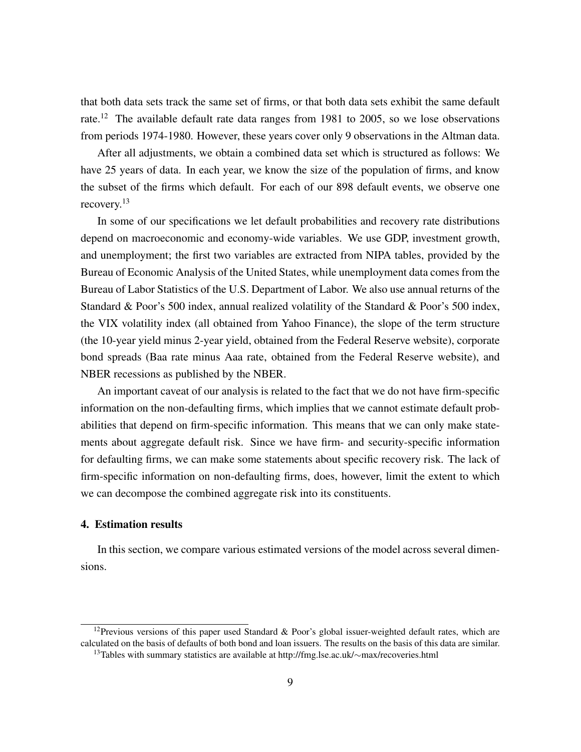that both data sets track the same set of firms, or that both data sets exhibit the same default rate.<sup>12</sup> The available default rate data ranges from 1981 to 2005, so we lose observations from periods 1974-1980. However, these years cover only 9 observations in the Altman data.

After all adjustments, we obtain a combined data set which is structured as follows: We have 25 years of data. In each year, we know the size of the population of firms, and know the subset of the firms which default. For each of our 898 default events, we observe one recovery.<sup>13</sup>

In some of our specifications we let default probabilities and recovery rate distributions depend on macroeconomic and economy-wide variables. We use GDP, investment growth, and unemployment; the first two variables are extracted from NIPA tables, provided by the Bureau of Economic Analysis of the United States, while unemployment data comes from the Bureau of Labor Statistics of the U.S. Department of Labor. We also use annual returns of the Standard & Poor's 500 index, annual realized volatility of the Standard & Poor's 500 index, the VIX volatility index (all obtained from Yahoo Finance), the slope of the term structure (the 10-year yield minus 2-year yield, obtained from the Federal Reserve website), corporate bond spreads (Baa rate minus Aaa rate, obtained from the Federal Reserve website), and NBER recessions as published by the NBER.

An important caveat of our analysis is related to the fact that we do not have firm-specific information on the non-defaulting firms, which implies that we cannot estimate default probabilities that depend on firm-specific information. This means that we can only make statements about aggregate default risk. Since we have firm- and security-specific information for defaulting firms, we can make some statements about specific recovery risk. The lack of firm-specific information on non-defaulting firms, does, however, limit the extent to which we can decompose the combined aggregate risk into its constituents.

#### 4. Estimation results

In this section, we compare various estimated versions of the model across several dimensions.

<sup>&</sup>lt;sup>12</sup>Previous versions of this paper used Standard & Poor's global issuer-weighted default rates, which are calculated on the basis of defaults of both bond and loan issuers. The results on the basis of this data are similar.

<sup>13</sup>Tables with summary statistics are available at http://fmg.lse.ac.uk/∼max/recoveries.html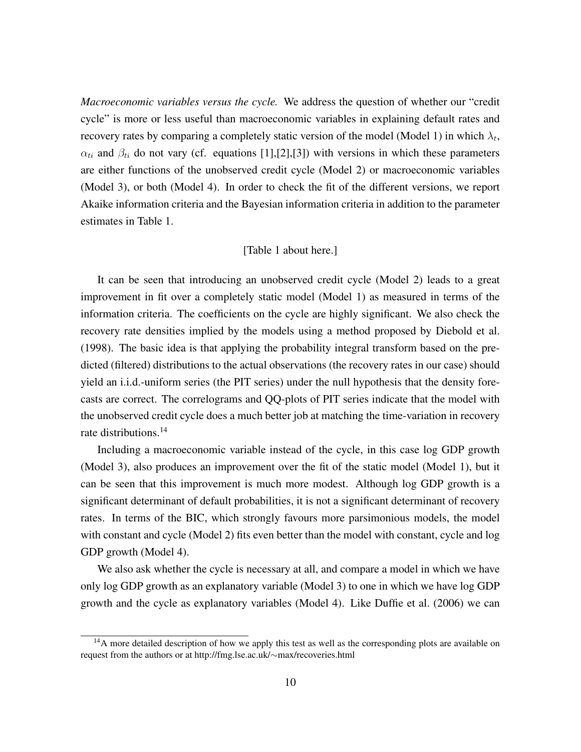*Macroeconomic variables versus the cycle.* We address the question of whether our "credit cycle" is more or less useful than macroeconomic variables in explaining default rates and recovery rates by comparing a completely static version of the model (Model 1) in which  $\lambda_t$ ,  $\alpha_{ti}$  and  $\beta_{ti}$  do not vary (cf. equations [1],[2],[3]) with versions in which these parameters are either functions of the unobserved credit cycle (Model 2) or macroeconomic variables (Model 3), or both (Model 4). In order to check the fit of the different versions, we report Akaike information criteria and the Bayesian information criteria in addition to the parameter estimates in Table 1.

#### [Table 1 about here.]

It can be seen that introducing an unobserved credit cycle (Model 2) leads to a great improvement in fit over a completely static model (Model 1) as measured in terms of the information criteria. The coefficients on the cycle are highly significant. We also check the recovery rate densities implied by the models using a method proposed by Diebold et al. (1998). The basic idea is that applying the probability integral transform based on the predicted (filtered) distributions to the actual observations (the recovery rates in our case) should yield an i.i.d.-uniform series (the PIT series) under the null hypothesis that the density forecasts are correct. The correlograms and QQ-plots of PIT series indicate that the model with the unobserved credit cycle does a much better job at matching the time-variation in recovery rate distributions.<sup>14</sup>

Including a macroeconomic variable instead of the cycle, in this case log GDP growth (Model 3), also produces an improvement over the fit of the static model (Model 1), but it can be seen that this improvement is much more modest. Although log GDP growth is a significant determinant of default probabilities, it is not a significant determinant of recovery rates. In terms of the BIC, which strongly favours more parsimonious models, the model with constant and cycle (Model 2) fits even better than the model with constant, cycle and log GDP growth (Model 4).

We also ask whether the cycle is necessary at all, and compare a model in which we have only log GDP growth as an explanatory variable (Model 3) to one in which we have log GDP growth and the cycle as explanatory variables (Model 4). Like Duffie et al. (2006) we can

 $<sup>14</sup>A$  more detailed description of how we apply this test as well as the corresponding plots are available on</sup> request from the authors or at http://fmg.lse.ac.uk/∼max/recoveries.html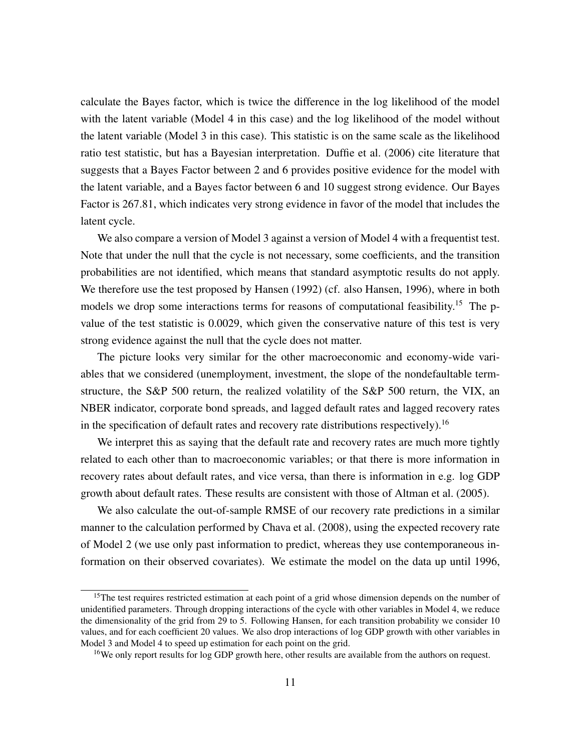calculate the Bayes factor, which is twice the difference in the log likelihood of the model with the latent variable (Model 4 in this case) and the log likelihood of the model without the latent variable (Model 3 in this case). This statistic is on the same scale as the likelihood ratio test statistic, but has a Bayesian interpretation. Duffie et al. (2006) cite literature that suggests that a Bayes Factor between 2 and 6 provides positive evidence for the model with the latent variable, and a Bayes factor between 6 and 10 suggest strong evidence. Our Bayes Factor is 267.81, which indicates very strong evidence in favor of the model that includes the latent cycle.

We also compare a version of Model 3 against a version of Model 4 with a frequentist test. Note that under the null that the cycle is not necessary, some coefficients, and the transition probabilities are not identified, which means that standard asymptotic results do not apply. We therefore use the test proposed by Hansen (1992) (cf. also Hansen, 1996), where in both models we drop some interactions terms for reasons of computational feasibility.<sup>15</sup> The pvalue of the test statistic is 0.0029, which given the conservative nature of this test is very strong evidence against the null that the cycle does not matter.

The picture looks very similar for the other macroeconomic and economy-wide variables that we considered (unemployment, investment, the slope of the nondefaultable termstructure, the S&P 500 return, the realized volatility of the S&P 500 return, the VIX, an NBER indicator, corporate bond spreads, and lagged default rates and lagged recovery rates in the specification of default rates and recovery rate distributions respectively).<sup>16</sup>

We interpret this as saying that the default rate and recovery rates are much more tightly related to each other than to macroeconomic variables; or that there is more information in recovery rates about default rates, and vice versa, than there is information in e.g. log GDP growth about default rates. These results are consistent with those of Altman et al. (2005).

We also calculate the out-of-sample RMSE of our recovery rate predictions in a similar manner to the calculation performed by Chava et al. (2008), using the expected recovery rate of Model 2 (we use only past information to predict, whereas they use contemporaneous information on their observed covariates). We estimate the model on the data up until 1996,

<sup>&</sup>lt;sup>15</sup>The test requires restricted estimation at each point of a grid whose dimension depends on the number of unidentified parameters. Through dropping interactions of the cycle with other variables in Model 4, we reduce the dimensionality of the grid from 29 to 5. Following Hansen, for each transition probability we consider 10 values, and for each coefficient 20 values. We also drop interactions of log GDP growth with other variables in Model 3 and Model 4 to speed up estimation for each point on the grid.

<sup>&</sup>lt;sup>16</sup>We only report results for log GDP growth here, other results are available from the authors on request.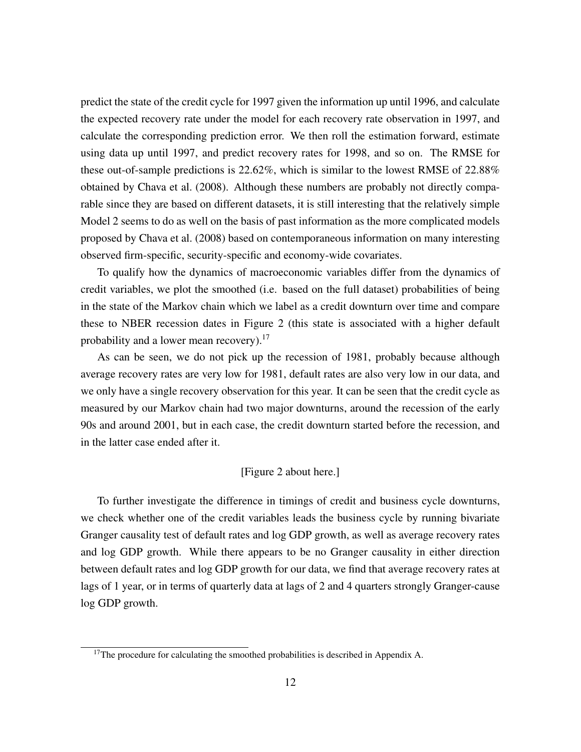predict the state of the credit cycle for 1997 given the information up until 1996, and calculate the expected recovery rate under the model for each recovery rate observation in 1997, and calculate the corresponding prediction error. We then roll the estimation forward, estimate using data up until 1997, and predict recovery rates for 1998, and so on. The RMSE for these out-of-sample predictions is 22.62%, which is similar to the lowest RMSE of 22.88% obtained by Chava et al. (2008). Although these numbers are probably not directly comparable since they are based on different datasets, it is still interesting that the relatively simple Model 2 seems to do as well on the basis of past information as the more complicated models proposed by Chava et al. (2008) based on contemporaneous information on many interesting observed firm-specific, security-specific and economy-wide covariates.

To qualify how the dynamics of macroeconomic variables differ from the dynamics of credit variables, we plot the smoothed (i.e. based on the full dataset) probabilities of being in the state of the Markov chain which we label as a credit downturn over time and compare these to NBER recession dates in Figure 2 (this state is associated with a higher default probability and a lower mean recovery).<sup>17</sup>

As can be seen, we do not pick up the recession of 1981, probably because although average recovery rates are very low for 1981, default rates are also very low in our data, and we only have a single recovery observation for this year. It can be seen that the credit cycle as measured by our Markov chain had two major downturns, around the recession of the early 90s and around 2001, but in each case, the credit downturn started before the recession, and in the latter case ended after it.

#### [Figure 2 about here.]

To further investigate the difference in timings of credit and business cycle downturns, we check whether one of the credit variables leads the business cycle by running bivariate Granger causality test of default rates and log GDP growth, as well as average recovery rates and log GDP growth. While there appears to be no Granger causality in either direction between default rates and log GDP growth for our data, we find that average recovery rates at lags of 1 year, or in terms of quarterly data at lags of 2 and 4 quarters strongly Granger-cause log GDP growth.

<sup>&</sup>lt;sup>17</sup>The procedure for calculating the smoothed probabilities is described in Appendix A.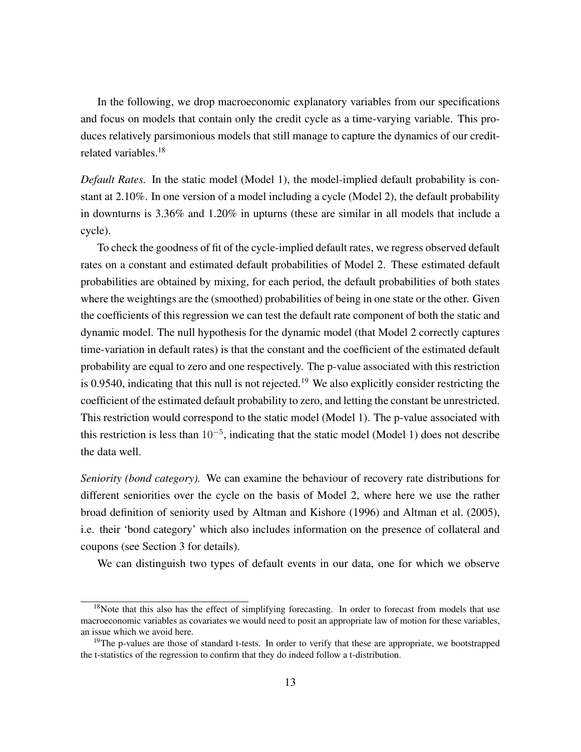In the following, we drop macroeconomic explanatory variables from our specifications and focus on models that contain only the credit cycle as a time-varying variable. This produces relatively parsimonious models that still manage to capture the dynamics of our creditrelated variables.<sup>18</sup>

*Default Rates.* In the static model (Model 1), the model-implied default probability is constant at 2.10%. In one version of a model including a cycle (Model 2), the default probability in downturns is 3.36% and 1.20% in upturns (these are similar in all models that include a cycle).

To check the goodness of fit of the cycle-implied default rates, we regress observed default rates on a constant and estimated default probabilities of Model 2. These estimated default probabilities are obtained by mixing, for each period, the default probabilities of both states where the weightings are the (smoothed) probabilities of being in one state or the other. Given the coefficients of this regression we can test the default rate component of both the static and dynamic model. The null hypothesis for the dynamic model (that Model 2 correctly captures time-variation in default rates) is that the constant and the coefficient of the estimated default probability are equal to zero and one respectively. The p-value associated with this restriction is 0.9540, indicating that this null is not rejected.<sup>19</sup> We also explicitly consider restricting the coefficient of the estimated default probability to zero, and letting the constant be unrestricted. This restriction would correspond to the static model (Model 1). The p-value associated with this restriction is less than  $10^{-5}$ , indicating that the static model (Model 1) does not describe the data well.

*Seniority (bond category).* We can examine the behaviour of recovery rate distributions for different seniorities over the cycle on the basis of Model 2, where here we use the rather broad definition of seniority used by Altman and Kishore (1996) and Altman et al. (2005), i.e. their 'bond category' which also includes information on the presence of collateral and coupons (see Section 3 for details).

We can distinguish two types of default events in our data, one for which we observe

<sup>&</sup>lt;sup>18</sup>Note that this also has the effect of simplifying forecasting. In order to forecast from models that use macroeconomic variables as covariates we would need to posit an appropriate law of motion for these variables, an issue which we avoid here.

<sup>&</sup>lt;sup>19</sup>The p-values are those of standard t-tests. In order to verify that these are appropriate, we bootstrapped the t-statistics of the regression to confirm that they do indeed follow a t-distribution.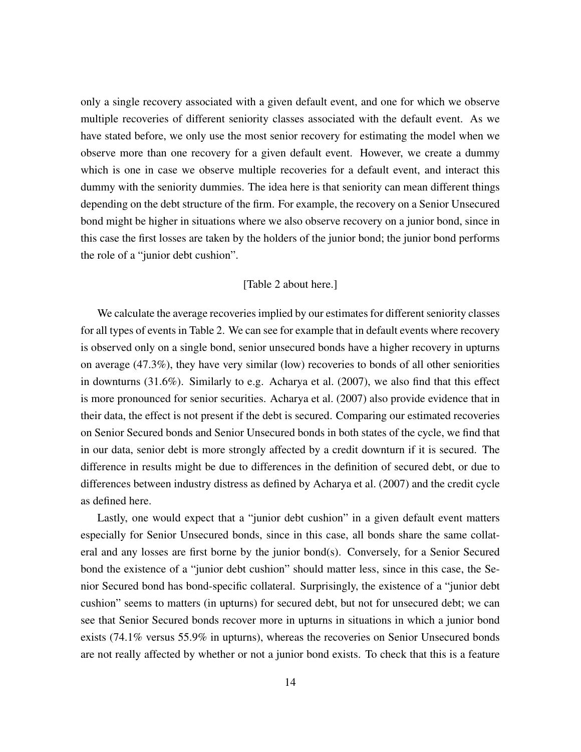only a single recovery associated with a given default event, and one for which we observe multiple recoveries of different seniority classes associated with the default event. As we have stated before, we only use the most senior recovery for estimating the model when we observe more than one recovery for a given default event. However, we create a dummy which is one in case we observe multiple recoveries for a default event, and interact this dummy with the seniority dummies. The idea here is that seniority can mean different things depending on the debt structure of the firm. For example, the recovery on a Senior Unsecured bond might be higher in situations where we also observe recovery on a junior bond, since in this case the first losses are taken by the holders of the junior bond; the junior bond performs the role of a "junior debt cushion".

#### [Table 2 about here.]

We calculate the average recoveries implied by our estimates for different seniority classes for all types of events in Table 2. We can see for example that in default events where recovery is observed only on a single bond, senior unsecured bonds have a higher recovery in upturns on average (47.3%), they have very similar (low) recoveries to bonds of all other seniorities in downturns (31.6%). Similarly to e.g. Acharya et al. (2007), we also find that this effect is more pronounced for senior securities. Acharya et al. (2007) also provide evidence that in their data, the effect is not present if the debt is secured. Comparing our estimated recoveries on Senior Secured bonds and Senior Unsecured bonds in both states of the cycle, we find that in our data, senior debt is more strongly affected by a credit downturn if it is secured. The difference in results might be due to differences in the definition of secured debt, or due to differences between industry distress as defined by Acharya et al. (2007) and the credit cycle as defined here.

Lastly, one would expect that a "junior debt cushion" in a given default event matters especially for Senior Unsecured bonds, since in this case, all bonds share the same collateral and any losses are first borne by the junior bond(s). Conversely, for a Senior Secured bond the existence of a "junior debt cushion" should matter less, since in this case, the Senior Secured bond has bond-specific collateral. Surprisingly, the existence of a "junior debt cushion" seems to matters (in upturns) for secured debt, but not for unsecured debt; we can see that Senior Secured bonds recover more in upturns in situations in which a junior bond exists (74.1% versus 55.9% in upturns), whereas the recoveries on Senior Unsecured bonds are not really affected by whether or not a junior bond exists. To check that this is a feature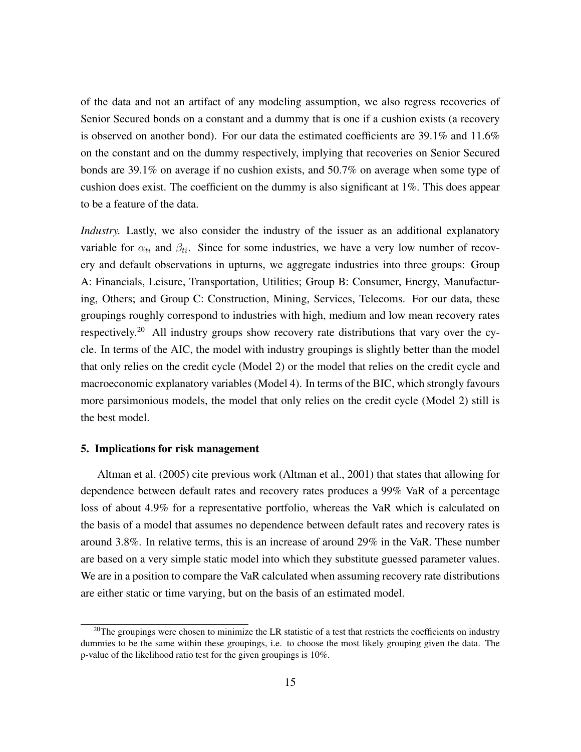of the data and not an artifact of any modeling assumption, we also regress recoveries of Senior Secured bonds on a constant and a dummy that is one if a cushion exists (a recovery is observed on another bond). For our data the estimated coefficients are 39.1% and 11.6% on the constant and on the dummy respectively, implying that recoveries on Senior Secured bonds are 39.1% on average if no cushion exists, and 50.7% on average when some type of cushion does exist. The coefficient on the dummy is also significant at 1%. This does appear to be a feature of the data.

*Industry.* Lastly, we also consider the industry of the issuer as an additional explanatory variable for  $\alpha_{ti}$  and  $\beta_{ti}$ . Since for some industries, we have a very low number of recovery and default observations in upturns, we aggregate industries into three groups: Group A: Financials, Leisure, Transportation, Utilities; Group B: Consumer, Energy, Manufacturing, Others; and Group C: Construction, Mining, Services, Telecoms. For our data, these groupings roughly correspond to industries with high, medium and low mean recovery rates respectively.<sup>20</sup> All industry groups show recovery rate distributions that vary over the cycle. In terms of the AIC, the model with industry groupings is slightly better than the model that only relies on the credit cycle (Model 2) or the model that relies on the credit cycle and macroeconomic explanatory variables (Model 4). In terms of the BIC, which strongly favours more parsimonious models, the model that only relies on the credit cycle (Model 2) still is the best model.

#### 5. Implications for risk management

Altman et al. (2005) cite previous work (Altman et al., 2001) that states that allowing for dependence between default rates and recovery rates produces a 99% VaR of a percentage loss of about 4.9% for a representative portfolio, whereas the VaR which is calculated on the basis of a model that assumes no dependence between default rates and recovery rates is around 3.8%. In relative terms, this is an increase of around 29% in the VaR. These number are based on a very simple static model into which they substitute guessed parameter values. We are in a position to compare the VaR calculated when assuming recovery rate distributions are either static or time varying, but on the basis of an estimated model.

 $20$ The groupings were chosen to minimize the LR statistic of a test that restricts the coefficients on industry dummies to be the same within these groupings, i.e. to choose the most likely grouping given the data. The p-value of the likelihood ratio test for the given groupings is 10%.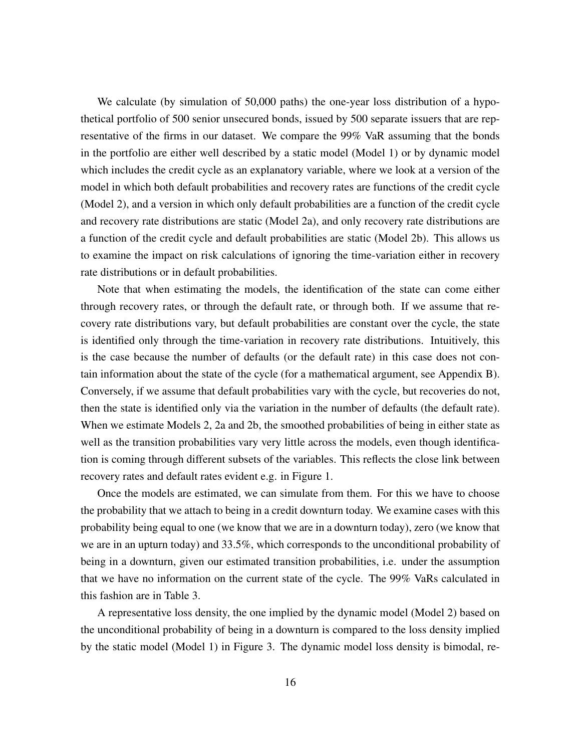We calculate (by simulation of 50,000 paths) the one-year loss distribution of a hypothetical portfolio of 500 senior unsecured bonds, issued by 500 separate issuers that are representative of the firms in our dataset. We compare the 99% VaR assuming that the bonds in the portfolio are either well described by a static model (Model 1) or by dynamic model which includes the credit cycle as an explanatory variable, where we look at a version of the model in which both default probabilities and recovery rates are functions of the credit cycle (Model 2), and a version in which only default probabilities are a function of the credit cycle and recovery rate distributions are static (Model 2a), and only recovery rate distributions are a function of the credit cycle and default probabilities are static (Model 2b). This allows us to examine the impact on risk calculations of ignoring the time-variation either in recovery rate distributions or in default probabilities.

Note that when estimating the models, the identification of the state can come either through recovery rates, or through the default rate, or through both. If we assume that recovery rate distributions vary, but default probabilities are constant over the cycle, the state is identified only through the time-variation in recovery rate distributions. Intuitively, this is the case because the number of defaults (or the default rate) in this case does not contain information about the state of the cycle (for a mathematical argument, see Appendix B). Conversely, if we assume that default probabilities vary with the cycle, but recoveries do not, then the state is identified only via the variation in the number of defaults (the default rate). When we estimate Models 2, 2a and 2b, the smoothed probabilities of being in either state as well as the transition probabilities vary very little across the models, even though identification is coming through different subsets of the variables. This reflects the close link between recovery rates and default rates evident e.g. in Figure 1.

Once the models are estimated, we can simulate from them. For this we have to choose the probability that we attach to being in a credit downturn today. We examine cases with this probability being equal to one (we know that we are in a downturn today), zero (we know that we are in an upturn today) and 33.5%, which corresponds to the unconditional probability of being in a downturn, given our estimated transition probabilities, i.e. under the assumption that we have no information on the current state of the cycle. The 99% VaRs calculated in this fashion are in Table 3.

A representative loss density, the one implied by the dynamic model (Model 2) based on the unconditional probability of being in a downturn is compared to the loss density implied by the static model (Model 1) in Figure 3. The dynamic model loss density is bimodal, re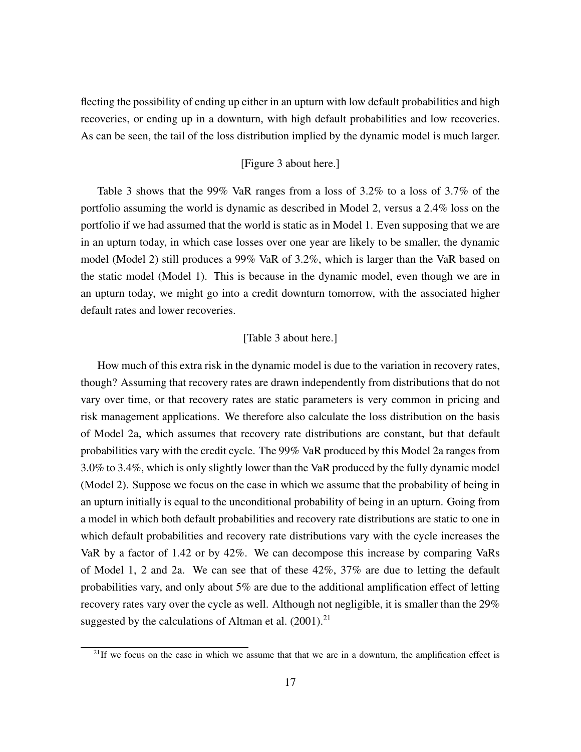flecting the possibility of ending up either in an upturn with low default probabilities and high recoveries, or ending up in a downturn, with high default probabilities and low recoveries. As can be seen, the tail of the loss distribution implied by the dynamic model is much larger.

#### [Figure 3 about here.]

Table 3 shows that the 99% VaR ranges from a loss of 3.2% to a loss of 3.7% of the portfolio assuming the world is dynamic as described in Model 2, versus a 2.4% loss on the portfolio if we had assumed that the world is static as in Model 1. Even supposing that we are in an upturn today, in which case losses over one year are likely to be smaller, the dynamic model (Model 2) still produces a 99% VaR of 3.2%, which is larger than the VaR based on the static model (Model 1). This is because in the dynamic model, even though we are in an upturn today, we might go into a credit downturn tomorrow, with the associated higher default rates and lower recoveries.

#### [Table 3 about here.]

How much of this extra risk in the dynamic model is due to the variation in recovery rates, though? Assuming that recovery rates are drawn independently from distributions that do not vary over time, or that recovery rates are static parameters is very common in pricing and risk management applications. We therefore also calculate the loss distribution on the basis of Model 2a, which assumes that recovery rate distributions are constant, but that default probabilities vary with the credit cycle. The 99% VaR produced by this Model 2a ranges from 3.0% to 3.4%, which is only slightly lower than the VaR produced by the fully dynamic model (Model 2). Suppose we focus on the case in which we assume that the probability of being in an upturn initially is equal to the unconditional probability of being in an upturn. Going from a model in which both default probabilities and recovery rate distributions are static to one in which default probabilities and recovery rate distributions vary with the cycle increases the VaR by a factor of 1.42 or by 42%. We can decompose this increase by comparing VaRs of Model 1, 2 and 2a. We can see that of these 42%, 37% are due to letting the default probabilities vary, and only about 5% are due to the additional amplification effect of letting recovery rates vary over the cycle as well. Although not negligible, it is smaller than the 29% suggested by the calculations of Altman et al.  $(2001).^{21}$ 

 $21$ If we focus on the case in which we assume that that we are in a downturn, the amplification effect is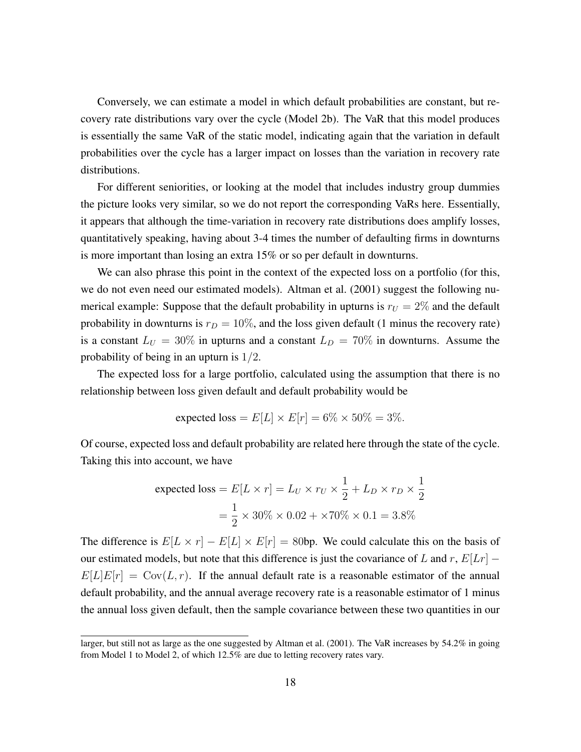Conversely, we can estimate a model in which default probabilities are constant, but recovery rate distributions vary over the cycle (Model 2b). The VaR that this model produces is essentially the same VaR of the static model, indicating again that the variation in default probabilities over the cycle has a larger impact on losses than the variation in recovery rate distributions.

For different seniorities, or looking at the model that includes industry group dummies the picture looks very similar, so we do not report the corresponding VaRs here. Essentially, it appears that although the time-variation in recovery rate distributions does amplify losses, quantitatively speaking, having about 3-4 times the number of defaulting firms in downturns is more important than losing an extra 15% or so per default in downturns.

We can also phrase this point in the context of the expected loss on a portfolio (for this, we do not even need our estimated models). Altman et al. (2001) suggest the following numerical example: Suppose that the default probability in upturns is  $r_U = 2\%$  and the default probability in downturns is  $r_D = 10\%$ , and the loss given default (1 minus the recovery rate) is a constant  $L_U = 30\%$  in upturns and a constant  $L_D = 70\%$  in downturns. Assume the probability of being in an upturn is 1/2.

The expected loss for a large portfolio, calculated using the assumption that there is no relationship between loss given default and default probability would be

expected loss = 
$$
E[L] \times E[r] = 6\% \times 50\% = 3\%.
$$

Of course, expected loss and default probability are related here through the state of the cycle. Taking this into account, we have

expected loss = 
$$
E[L \times r] = L_U \times r_U \times \frac{1}{2} + L_D \times r_D \times \frac{1}{2}
$$
  
=  $\frac{1}{2} \times 30\% \times 0.02 + \times 70\% \times 0.1 = 3.8\%$ 

The difference is  $E[L \times r] - E[L] \times E[r] = 80$  bp. We could calculate this on the basis of our estimated models, but note that this difference is just the covariance of L and r,  $E[Tr]$  –  $E[L]E[r] = Cov(L, r)$ . If the annual default rate is a reasonable estimator of the annual default probability, and the annual average recovery rate is a reasonable estimator of 1 minus the annual loss given default, then the sample covariance between these two quantities in our

larger, but still not as large as the one suggested by Altman et al. (2001). The VaR increases by 54.2% in going from Model 1 to Model 2, of which 12.5% are due to letting recovery rates vary.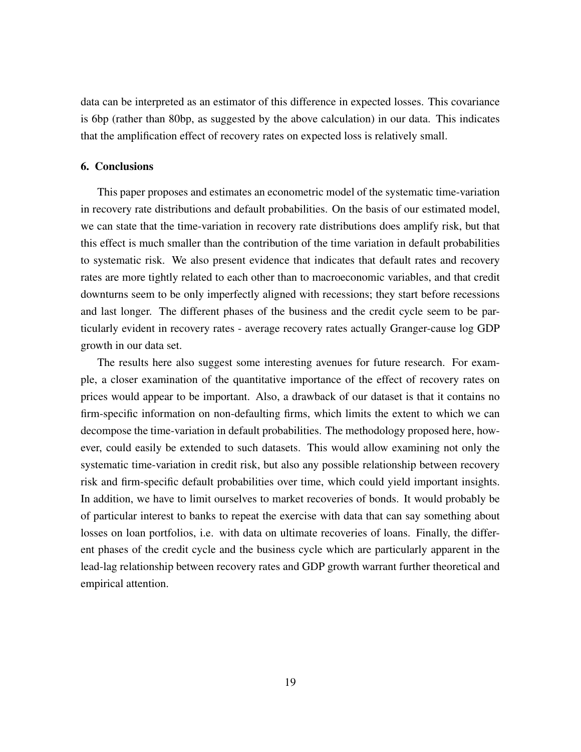data can be interpreted as an estimator of this difference in expected losses. This covariance is 6bp (rather than 80bp, as suggested by the above calculation) in our data. This indicates that the amplification effect of recovery rates on expected loss is relatively small.

#### 6. Conclusions

This paper proposes and estimates an econometric model of the systematic time-variation in recovery rate distributions and default probabilities. On the basis of our estimated model, we can state that the time-variation in recovery rate distributions does amplify risk, but that this effect is much smaller than the contribution of the time variation in default probabilities to systematic risk. We also present evidence that indicates that default rates and recovery rates are more tightly related to each other than to macroeconomic variables, and that credit downturns seem to be only imperfectly aligned with recessions; they start before recessions and last longer. The different phases of the business and the credit cycle seem to be particularly evident in recovery rates - average recovery rates actually Granger-cause log GDP growth in our data set.

The results here also suggest some interesting avenues for future research. For example, a closer examination of the quantitative importance of the effect of recovery rates on prices would appear to be important. Also, a drawback of our dataset is that it contains no firm-specific information on non-defaulting firms, which limits the extent to which we can decompose the time-variation in default probabilities. The methodology proposed here, however, could easily be extended to such datasets. This would allow examining not only the systematic time-variation in credit risk, but also any possible relationship between recovery risk and firm-specific default probabilities over time, which could yield important insights. In addition, we have to limit ourselves to market recoveries of bonds. It would probably be of particular interest to banks to repeat the exercise with data that can say something about losses on loan portfolios, i.e. with data on ultimate recoveries of loans. Finally, the different phases of the credit cycle and the business cycle which are particularly apparent in the lead-lag relationship between recovery rates and GDP growth warrant further theoretical and empirical attention.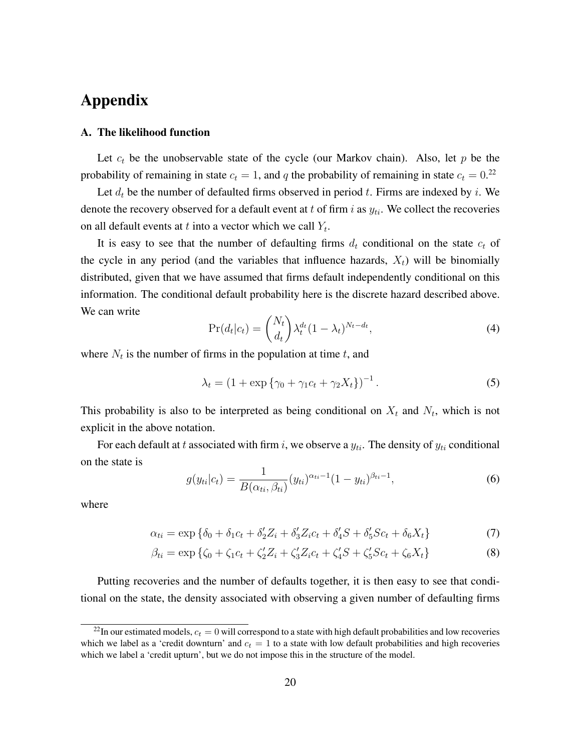## Appendix

#### A. The likelihood function

Let  $c_t$  be the unobservable state of the cycle (our Markov chain). Also, let p be the probability of remaining in state  $c_t = 1$ , and q the probability of remaining in state  $c_t = 0.22$ 

Let  $d_t$  be the number of defaulted firms observed in period t. Firms are indexed by i. We denote the recovery observed for a default event at t of firm i as  $y_{ti}$ . We collect the recoveries on all default events at t into a vector which we call  $Y_t$ .

It is easy to see that the number of defaulting firms  $d_t$  conditional on the state  $c_t$  of the cycle in any period (and the variables that influence hazards,  $X_t$ ) will be binomially distributed, given that we have assumed that firms default independently conditional on this information. The conditional default probability here is the discrete hazard described above. We can write

$$
\Pr(d_t|c_t) = \binom{N_t}{d_t} \lambda_t^{d_t} (1 - \lambda_t)^{N_t - d_t},\tag{4}
$$

where  $N_t$  is the number of firms in the population at time t, and

$$
\lambda_t = (1 + \exp\{\gamma_0 + \gamma_1 c_t + \gamma_2 X_t\})^{-1}.
$$
\n(5)

This probability is also to be interpreted as being conditional on  $X_t$  and  $N_t$ , which is not explicit in the above notation.

For each default at t associated with firm i, we observe a  $y_{ti}$ . The density of  $y_{ti}$  conditional on the state is

$$
g(y_{ti}|c_t) = \frac{1}{B(\alpha_{ti}, \beta_{ti})} (y_{ti})^{\alpha_{ti}-1} (1 - y_{ti})^{\beta_{ti}-1},
$$
\n(6)

where

$$
\alpha_{ti} = \exp \{ \delta_0 + \delta_1 c_t + \delta_2' Z_i + \delta_3' Z_i c_t + \delta_4' S + \delta_5' S c_t + \delta_6 X_t \} \tag{7}
$$

$$
\beta_{ti} = \exp \left\{ \zeta_0 + \zeta_1 c_t + \zeta_2' Z_i + \zeta_3' Z_i c_t + \zeta_4' S + \zeta_5' S c_t + \zeta_6 X_t \right\}
$$
(8)

Putting recoveries and the number of defaults together, it is then easy to see that conditional on the state, the density associated with observing a given number of defaulting firms

<sup>&</sup>lt;sup>22</sup>In our estimated models,  $c_t = 0$  will correspond to a state with high default probabilities and low recoveries which we label as a 'credit downturn' and  $c_t = 1$  to a state with low default probabilities and high recoveries which we label a 'credit upturn', but we do not impose this in the structure of the model.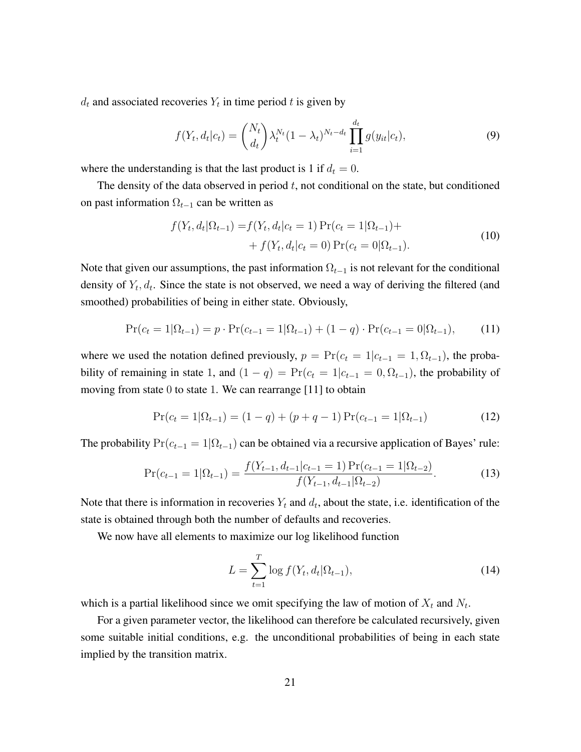$d_t$  and associated recoveries  $Y_t$  in time period t is given by

$$
f(Y_t, d_t|c_t) = {N_t \choose d_t} \lambda_t^{N_t} (1 - \lambda_t)^{N_t - d_t} \prod_{i=1}^{d_t} g(y_{it}|c_t),
$$
\n(9)

where the understanding is that the last product is 1 if  $d_t = 0$ .

The density of the data observed in period  $t$ , not conditional on the state, but conditioned on past information  $\Omega_{t-1}$  can be written as

$$
f(Y_t, d_t | \Omega_{t-1}) = f(Y_t, d_t | c_t = 1) \Pr(c_t = 1 | \Omega_{t-1}) ++ f(Y_t, d_t | c_t = 0) \Pr(c_t = 0 | \Omega_{t-1}).
$$
\n(10)

Note that given our assumptions, the past information  $\Omega_{t-1}$  is not relevant for the conditional density of  $Y_t$ ,  $d_t$ . Since the state is not observed, we need a way of deriving the filtered (and smoothed) probabilities of being in either state. Obviously,

$$
\Pr(c_t = 1 | \Omega_{t-1}) = p \cdot \Pr(c_{t-1} = 1 | \Omega_{t-1}) + (1 - q) \cdot \Pr(c_{t-1} = 0 | \Omega_{t-1}), \tag{11}
$$

where we used the notation defined previously,  $p = Pr(c_t = 1|c_{t-1} = 1, \Omega_{t-1})$ , the probability of remaining in state 1, and  $(1 - q) = Pr(c_t = 1|c_{t-1} = 0, \Omega_{t-1})$ , the probability of moving from state  $0$  to state 1. We can rearrange  $[11]$  to obtain

$$
Pr(c_t = 1 | \Omega_{t-1}) = (1 - q) + (p + q - 1) Pr(c_{t-1} = 1 | \Omega_{t-1})
$$
\n(12)

The probability  $Pr(c_{t-1} = 1 | \Omega_{t-1})$  can be obtained via a recursive application of Bayes' rule:

$$
\Pr(c_{t-1} = 1 | \Omega_{t-1}) = \frac{f(Y_{t-1}, d_{t-1} | c_{t-1} = 1) \Pr(c_{t-1} = 1 | \Omega_{t-2})}{f(Y_{t-1}, d_{t-1} | \Omega_{t-2})}.
$$
(13)

Note that there is information in recoveries  $Y_t$  and  $d_t$ , about the state, i.e. identification of the state is obtained through both the number of defaults and recoveries.

We now have all elements to maximize our log likelihood function

$$
L = \sum_{t=1}^{T} \log f(Y_t, d_t | \Omega_{t-1}),
$$
\n(14)

which is a partial likelihood since we omit specifying the law of motion of  $X_t$  and  $N_t$ .

For a given parameter vector, the likelihood can therefore be calculated recursively, given some suitable initial conditions, e.g. the unconditional probabilities of being in each state implied by the transition matrix.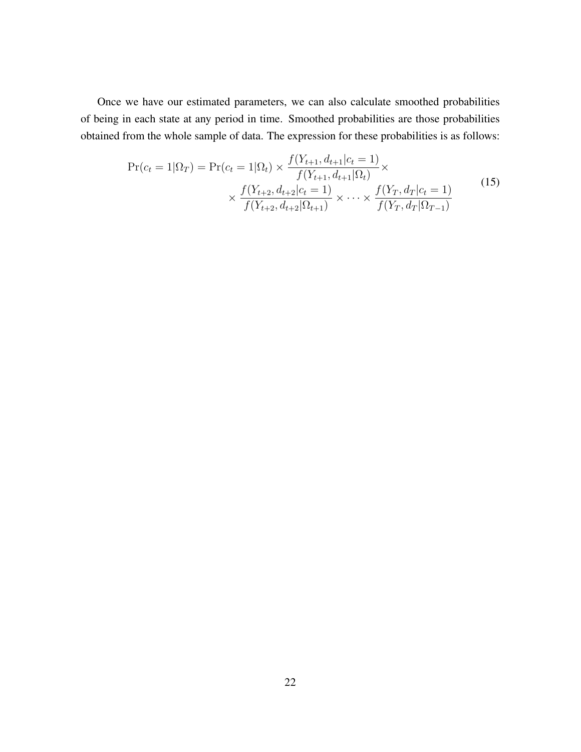Once we have our estimated parameters, we can also calculate smoothed probabilities of being in each state at any period in time. Smoothed probabilities are those probabilities obtained from the whole sample of data. The expression for these probabilities is as follows:

$$
\Pr(c_t = 1 | \Omega_T) = \Pr(c_t = 1 | \Omega_t) \times \frac{f(Y_{t+1}, d_{t+1} | c_t = 1)}{f(Y_{t+1}, d_{t+1} | \Omega_t)} \times \frac{f(Y_{t+2}, d_{t+2} | c_t = 1)}{f(Y_{t+2}, d_{t+2} | \Omega_{t+1})} \times \dots \times \frac{f(Y_T, d_T | c_t = 1)}{f(Y_T, d_T | \Omega_{T-1})}
$$
\n(15)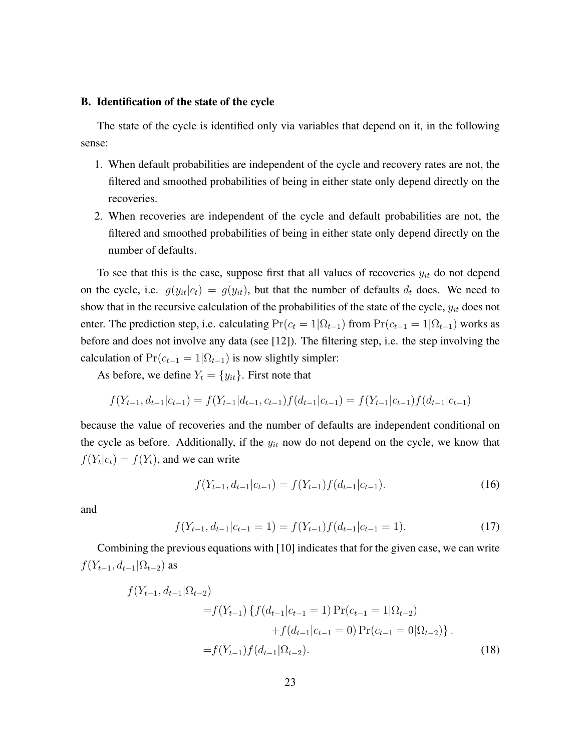#### B. Identification of the state of the cycle

The state of the cycle is identified only via variables that depend on it, in the following sense:

- 1. When default probabilities are independent of the cycle and recovery rates are not, the filtered and smoothed probabilities of being in either state only depend directly on the recoveries.
- 2. When recoveries are independent of the cycle and default probabilities are not, the filtered and smoothed probabilities of being in either state only depend directly on the number of defaults.

To see that this is the case, suppose first that all values of recoveries  $y_{it}$  do not depend on the cycle, i.e.  $g(y_{it}|c_t) = g(y_{it})$ , but that the number of defaults  $d_t$  does. We need to show that in the recursive calculation of the probabilities of the state of the cycle,  $y_{it}$  does not enter. The prediction step, i.e. calculating  $Pr(c_t = 1 | \Omega_{t-1})$  from  $Pr(c_{t-1} = 1 | \Omega_{t-1})$  works as before and does not involve any data (see [12]). The filtering step, i.e. the step involving the calculation of  $Pr(c_{t-1} = 1 | \Omega_{t-1})$  is now slightly simpler:

As before, we define  $Y_t = \{y_{it}\}\)$ . First note that

$$
f(Y_{t-1}, d_{t-1}|c_{t-1}) = f(Y_{t-1}|d_{t-1}, c_{t-1})f(d_{t-1}|c_{t-1}) = f(Y_{t-1}|c_{t-1})f(d_{t-1}|c_{t-1})
$$

because the value of recoveries and the number of defaults are independent conditional on the cycle as before. Additionally, if the  $y_{it}$  now do not depend on the cycle, we know that  $f(Y_t|c_t) = f(Y_t)$ , and we can write

$$
f(Y_{t-1}, d_{t-1}|c_{t-1}) = f(Y_{t-1})f(d_{t-1}|c_{t-1}).
$$
\n(16)

and

$$
f(Y_{t-1}, d_{t-1}|c_{t-1} = 1) = f(Y_{t-1})f(d_{t-1}|c_{t-1} = 1).
$$
 (17)

Combining the previous equations with [10] indicates that for the given case, we can write  $f(Y_{t-1}, d_{t-1} | \Omega_{t-2})$  as

$$
f(Y_{t-1}, d_{t-1} | \Omega_{t-2})
$$
  
=  $f(Y_{t-1}) \{ f(d_{t-1} | c_{t-1} = 1) \Pr(c_{t-1} = 1 | \Omega_{t-2})$   
 $+ f(d_{t-1} | c_{t-1} = 0) \Pr(c_{t-1} = 0 | \Omega_{t-2}) \}.$   
=  $f(Y_{t-1}) f(d_{t-1} | \Omega_{t-2}).$  (18)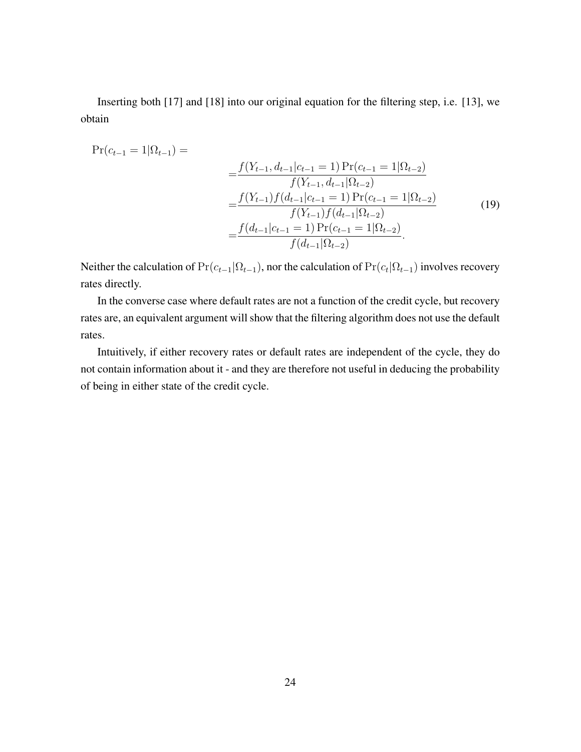Inserting both [17] and [18] into our original equation for the filtering step, i.e. [13], we obtain

$$
\Pr(c_{t-1} = 1 | \Omega_{t-1}) =
$$
\n
$$
= \frac{f(Y_{t-1}, d_{t-1} | c_{t-1} = 1) \Pr(c_{t-1} = 1 | \Omega_{t-2})}{f(Y_{t-1}, d_{t-1} | \Omega_{t-2})}
$$
\n
$$
= \frac{f(Y_{t-1}) f(d_{t-1} | c_{t-1} = 1) \Pr(c_{t-1} = 1 | \Omega_{t-2})}{f(Y_{t-1}) f(d_{t-1} | \Omega_{t-2})}
$$
\n
$$
= \frac{f(d_{t-1} | c_{t-1} = 1) \Pr(c_{t-1} = 1 | \Omega_{t-2})}{f(d_{t-1} | \Omega_{t-2})}.
$$
\n(19)

Neither the calculation of  $Pr(c_{t-1} | \Omega_{t-1})$ , nor the calculation of  $Pr(c_t | \Omega_{t-1})$  involves recovery rates directly.

In the converse case where default rates are not a function of the credit cycle, but recovery rates are, an equivalent argument will show that the filtering algorithm does not use the default rates.

Intuitively, if either recovery rates or default rates are independent of the cycle, they do not contain information about it - and they are therefore not useful in deducing the probability of being in either state of the credit cycle.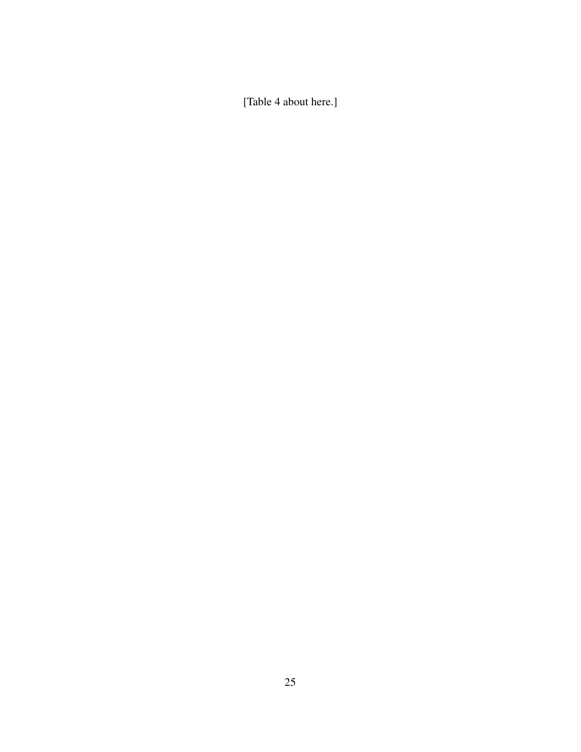[Table 4 about here.]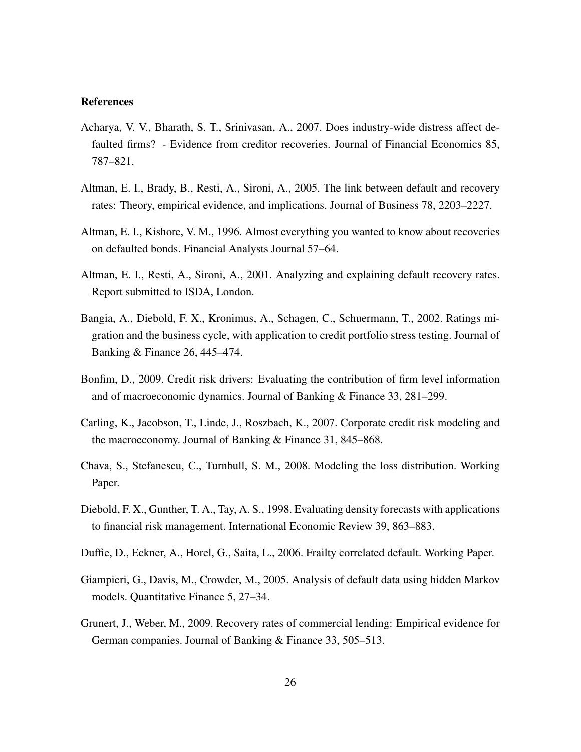#### References

- Acharya, V. V., Bharath, S. T., Srinivasan, A., 2007. Does industry-wide distress affect defaulted firms? - Evidence from creditor recoveries. Journal of Financial Economics 85, 787–821.
- Altman, E. I., Brady, B., Resti, A., Sironi, A., 2005. The link between default and recovery rates: Theory, empirical evidence, and implications. Journal of Business 78, 2203–2227.
- Altman, E. I., Kishore, V. M., 1996. Almost everything you wanted to know about recoveries on defaulted bonds. Financial Analysts Journal 57–64.
- Altman, E. I., Resti, A., Sironi, A., 2001. Analyzing and explaining default recovery rates. Report submitted to ISDA, London.
- Bangia, A., Diebold, F. X., Kronimus, A., Schagen, C., Schuermann, T., 2002. Ratings migration and the business cycle, with application to credit portfolio stress testing. Journal of Banking & Finance 26, 445–474.
- Bonfim, D., 2009. Credit risk drivers: Evaluating the contribution of firm level information and of macroeconomic dynamics. Journal of Banking & Finance 33, 281–299.
- Carling, K., Jacobson, T., Linde, J., Roszbach, K., 2007. Corporate credit risk modeling and the macroeconomy. Journal of Banking & Finance 31, 845–868.
- Chava, S., Stefanescu, C., Turnbull, S. M., 2008. Modeling the loss distribution. Working Paper.
- Diebold, F. X., Gunther, T. A., Tay, A. S., 1998. Evaluating density forecasts with applications to financial risk management. International Economic Review 39, 863–883.
- Duffie, D., Eckner, A., Horel, G., Saita, L., 2006. Frailty correlated default. Working Paper.
- Giampieri, G., Davis, M., Crowder, M., 2005. Analysis of default data using hidden Markov models. Quantitative Finance 5, 27–34.
- Grunert, J., Weber, M., 2009. Recovery rates of commercial lending: Empirical evidence for German companies. Journal of Banking & Finance 33, 505–513.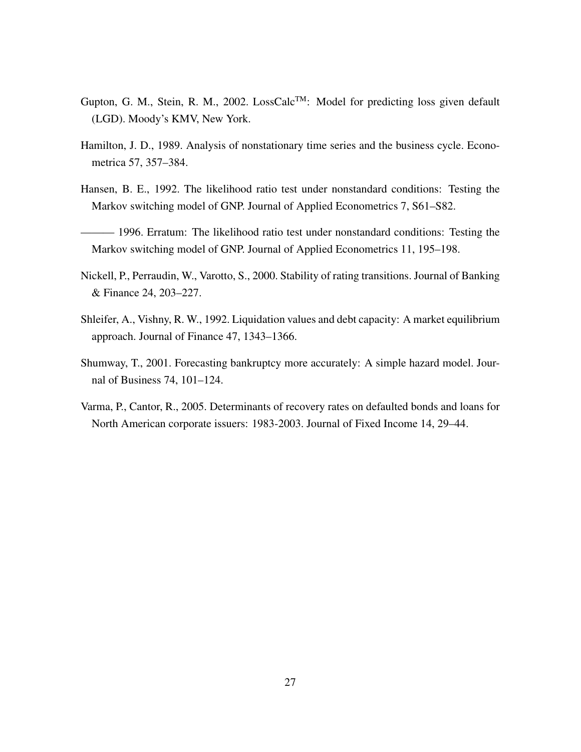- Gupton, G. M., Stein, R. M., 2002. LossCalc<sup>TM</sup>: Model for predicting loss given default (LGD). Moody's KMV, New York.
- Hamilton, J. D., 1989. Analysis of nonstationary time series and the business cycle. Econometrica 57, 357–384.
- Hansen, B. E., 1992. The likelihood ratio test under nonstandard conditions: Testing the Markov switching model of GNP. Journal of Applied Econometrics 7, S61–S82.

——— 1996. Erratum: The likelihood ratio test under nonstandard conditions: Testing the Markov switching model of GNP. Journal of Applied Econometrics 11, 195–198.

- Nickell, P., Perraudin, W., Varotto, S., 2000. Stability of rating transitions. Journal of Banking & Finance 24, 203–227.
- Shleifer, A., Vishny, R. W., 1992. Liquidation values and debt capacity: A market equilibrium approach. Journal of Finance 47, 1343–1366.
- Shumway, T., 2001. Forecasting bankruptcy more accurately: A simple hazard model. Journal of Business 74, 101–124.
- Varma, P., Cantor, R., 2005. Determinants of recovery rates on defaulted bonds and loans for North American corporate issuers: 1983-2003. Journal of Fixed Income 14, 29–44.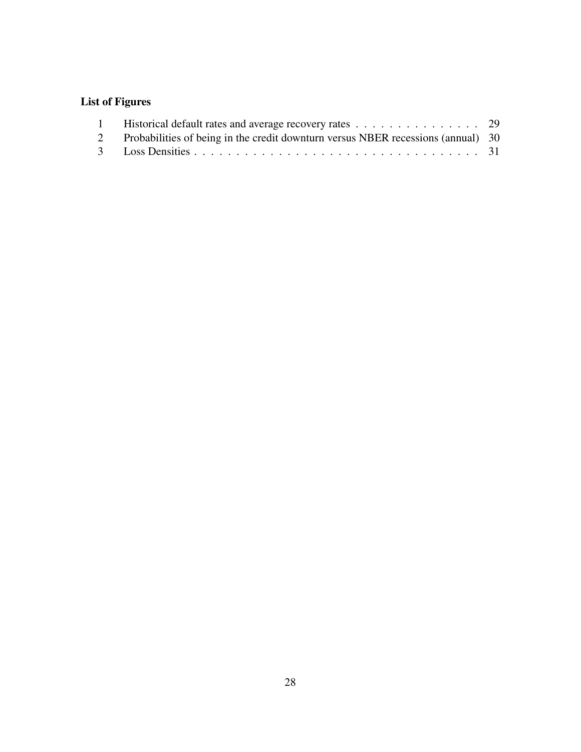## List of Figures

| Historical default rates and average recovery rates 29                             |  |
|------------------------------------------------------------------------------------|--|
| 2 Probabilities of being in the credit downturn versus NBER recessions (annual) 30 |  |
|                                                                                    |  |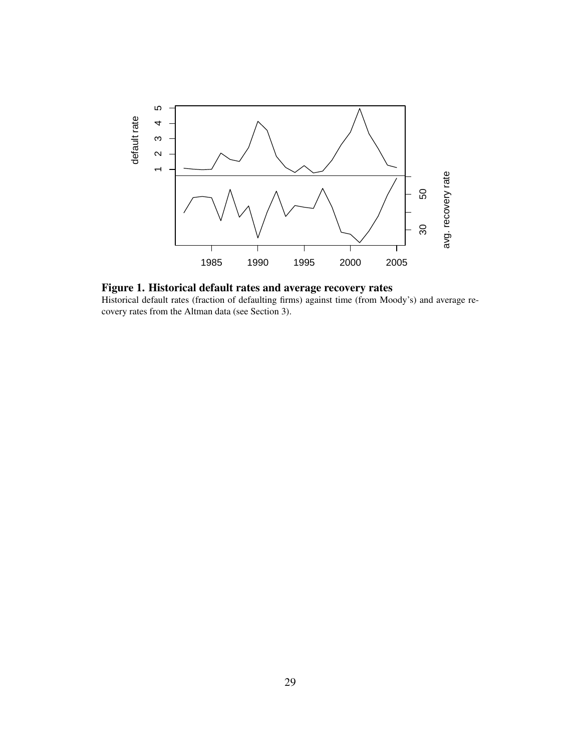



Historical default rates (fraction of defaulting firms) against time (from Moody's) and average recovery rates from the Altman data (see Section 3).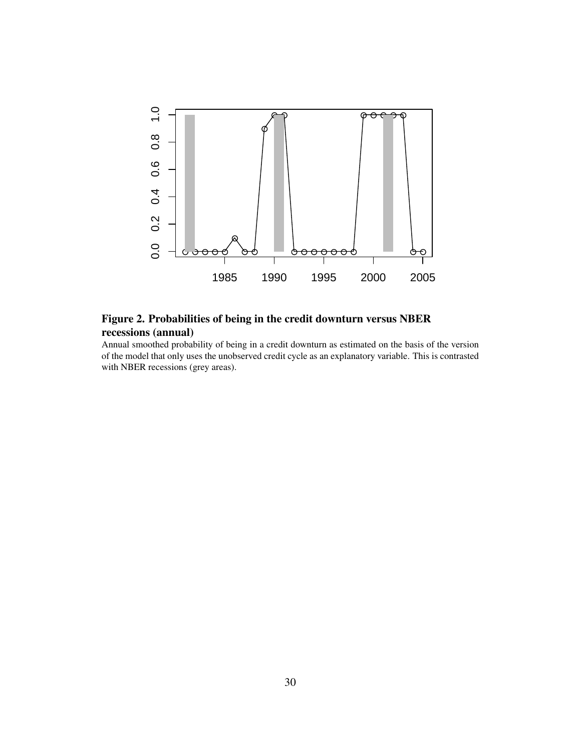

#### Figure 2. Probabilities of being in the credit downturn versus NBER recessions (annual)

Annual smoothed probability of being in a credit downturn as estimated on the basis of the version of the model that only uses the unobserved credit cycle as an explanatory variable. This is contrasted with NBER recessions (grey areas).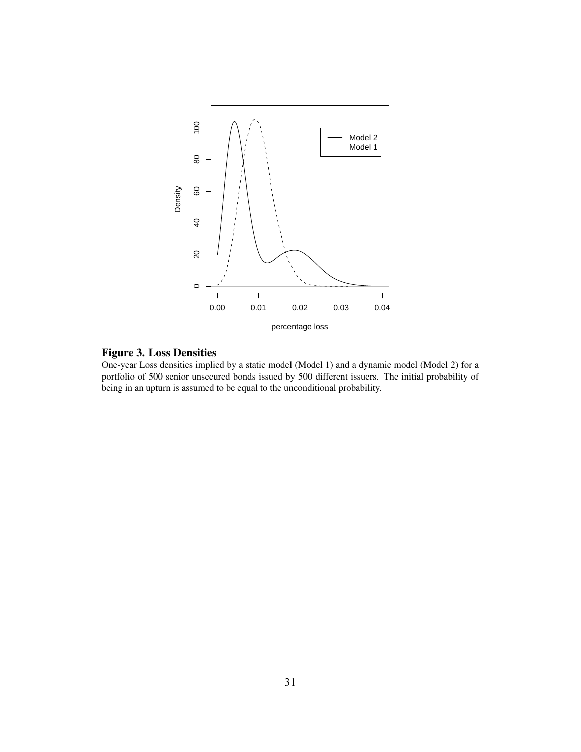

#### Figure 3. Loss Densities

One-year Loss densities implied by a static model (Model 1) and a dynamic model (Model 2) for a portfolio of 500 senior unsecured bonds issued by 500 different issuers. The initial probability of being in an upturn is assumed to be equal to the unconditional probability.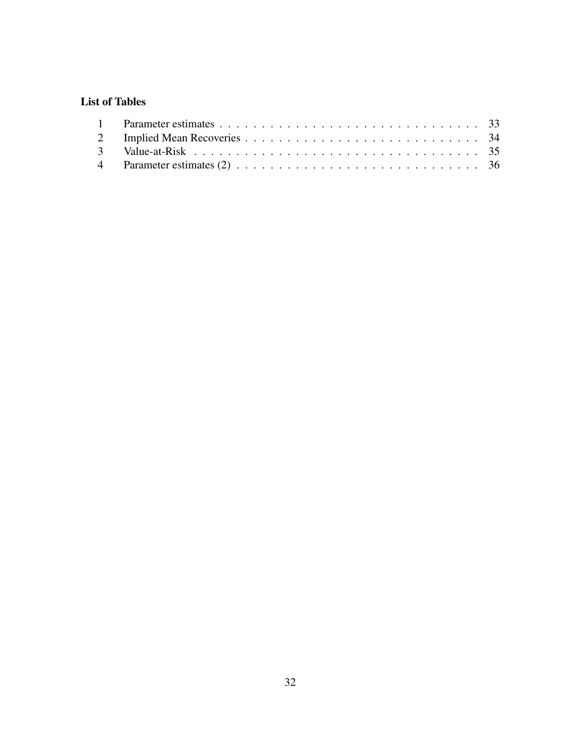## List of Tables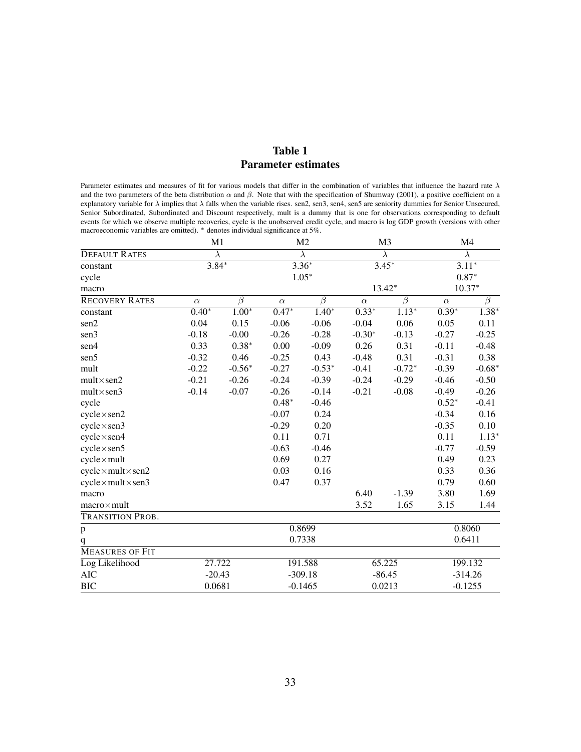#### Table 1 Parameter estimates

Parameter estimates and measures of fit for various models that differ in the combination of variables that influence the hazard rate  $\lambda$ and the two parameters of the beta distribution  $\alpha$  and  $\beta$ . Note that with the specification of Shumway (2001), a positive coefficient on a explanatory variable for  $\lambda$  implies that  $\lambda$  falls when the variable rises. sen2, sen3, sen4, sen5 are seniority dummies for Senior Unsecured, Senior Subordinated, Subordinated and Discount respectively, mult is a dummy that is one for observations corresponding to default events for which we observe multiple recoveries, cycle is the unobserved credit cycle, and macro is log GDP growth (versions with other macroeconomic variables are omitted). \* denotes individual significance at 5%.

|                                 | M1        |                    | M <sub>2</sub> |                    | M <sub>3</sub> |          | M <sub>4</sub> |          |
|---------------------------------|-----------|--------------------|----------------|--------------------|----------------|----------|----------------|----------|
| <b>DEFAULT RATES</b>            | $\lambda$ |                    | $\lambda$      |                    | $\lambda$      |          | $\lambda$      |          |
| constant                        | $3.84*$   |                    | $3.36*$        |                    | $3.45*$        |          | $3.11*$        |          |
| cycle                           |           |                    | $1.05*$        |                    |                |          | $0.87*$        |          |
| macro                           |           |                    |                |                    | 13.42*         |          | $10.37*$       |          |
| <b>RECOVERY RATES</b>           | $\alpha$  | $\overline{\beta}$ | $\alpha$       | $\overline{\beta}$ | $\alpha$       | $\beta$  | $\alpha$       | $\beta$  |
| constant                        | $0.40*$   | $1.00*$            | $0.47*$        | $1.40*$            | $0.33*$        | $1.13*$  | $0.39*$        | $1.38*$  |
| sen2                            | 0.04      | 0.15               | $-0.06$        | $-0.06$            | $-0.04$        | 0.06     | 0.05           | 0.11     |
| sen3                            | $-0.18$   | $-0.00$            | $-0.26$        | $-0.28$            | $-0.30*$       | $-0.13$  | $-0.27$        | $-0.25$  |
| sen4                            | 0.33      | $0.38*$            | 0.00           | $-0.09$            | 0.26           | 0.31     | $-0.11$        | $-0.48$  |
| sen <sub>5</sub>                | $-0.32$   | 0.46               | $-0.25$        | 0.43               | $-0.48$        | 0.31     | $-0.31$        | 0.38     |
| mult                            | $-0.22$   | $-0.56*$           | $-0.27$        | $-0.53*$           | $-0.41$        | $-0.72*$ | $-0.39$        | $-0.68*$ |
| $mult \times sen2$              | $-0.21$   | $-0.26$            | $-0.24$        | $-0.39$            | $-0.24$        | $-0.29$  | $-0.46$        | $-0.50$  |
| $mult \times sen3$              | $-0.14$   | $-0.07$            | $-0.26$        | $-0.14$            | $-0.21$        | $-0.08$  | $-0.49$        | $-0.26$  |
| cycle                           |           |                    | $0.48*$        | $-0.46$            |                |          | $0.52*$        | $-0.41$  |
| $cycle \times sen2$             |           |                    | $-0.07$        | 0.24               |                |          | $-0.34$        | 0.16     |
| $cycle \times sen3$             |           |                    | $-0.29$        | 0.20               |                |          | $-0.35$        | 0.10     |
| $cycle \times sen4$             |           |                    | 0.11           | 0.71               |                |          | 0.11           | $1.13*$  |
| $cycle \times sen5$             |           |                    | $-0.63$        | $-0.46$            |                |          | $-0.77$        | $-0.59$  |
| $cycle \times mult$             |           |                    | 0.69           | 0.27               |                |          | 0.49           | 0.23     |
| cycle×mult×sen2                 |           |                    | 0.03           | 0.16               |                |          | 0.33           | 0.36     |
| $cycle \times mult \times sen3$ |           |                    | 0.47           | 0.37               |                |          | 0.79           | 0.60     |
| macro                           |           |                    |                |                    | 6.40           | $-1.39$  | 3.80           | 1.69     |
| $macro \times mult$             |           |                    |                |                    | 3.52           | 1.65     | 3.15           | 1.44     |
| TRANSITION PROB.                |           |                    |                |                    |                |          |                |          |
| $\, {\bf p}$                    | 0.8699    |                    |                |                    |                |          | 0.8060         |          |
| $\mathbf q$                     |           | 0.7338             |                |                    |                |          | 0.6411         |          |
| <b>MEASURES OF FIT</b>          |           |                    |                |                    |                |          |                |          |
| Log Likelihood                  | 27.722    |                    | 191.588        |                    | 65.225         |          | 199.132        |          |
| <b>AIC</b>                      | $-20.43$  |                    | $-309.18$      |                    | $-86.45$       |          | $-314.26$      |          |
| <b>BIC</b>                      | 0.0681    |                    | $-0.1465$      |                    | 0.0213         |          | $-0.1255$      |          |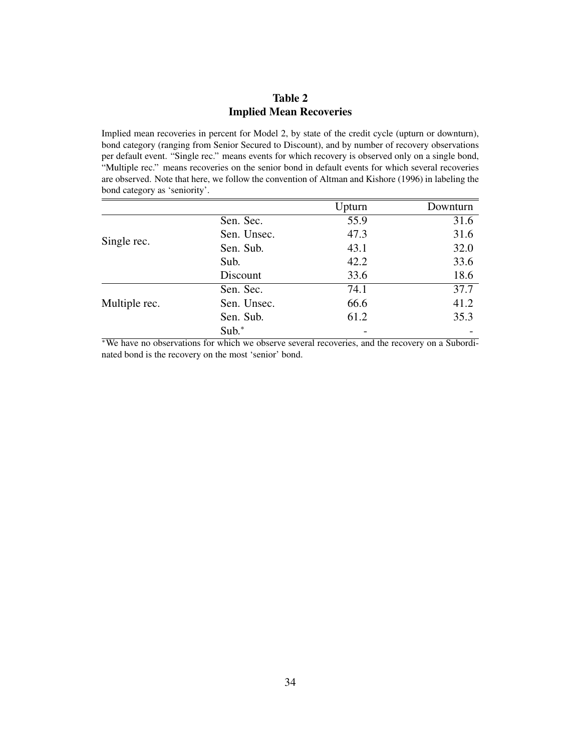#### Table 2 Implied Mean Recoveries

Implied mean recoveries in percent for Model 2, by state of the credit cycle (upturn or downturn), bond category (ranging from Senior Secured to Discount), and by number of recovery observations per default event. "Single rec." means events for which recovery is observed only on a single bond, "Multiple rec." means recoveries on the senior bond in default events for which several recoveries are observed. Note that here, we follow the convention of Altman and Kishore (1996) in labeling the bond category as 'seniority'.

|               |             | Upturn | Downturn |
|---------------|-------------|--------|----------|
|               | Sen. Sec.   | 55.9   | 31.6     |
|               | Sen. Unsec. | 47.3   | 31.6     |
| Single rec.   | Sen. Sub.   | 43.1   | 32.0     |
|               | Sub.        | 42.2   | 33.6     |
|               | Discount    | 33.6   | 18.6     |
|               | Sen. Sec.   | 74.1   | 37.7     |
| Multiple rec. | Sen. Unsec. | 66.6   | 41.2     |
|               | Sen. Sub.   | 61.2   | 35.3     |
|               | $Sub.*$     |        |          |

<sup>∗</sup>We have no observations for which we observe several recoveries, and the recovery on a Subordinated bond is the recovery on the most 'senior' bond.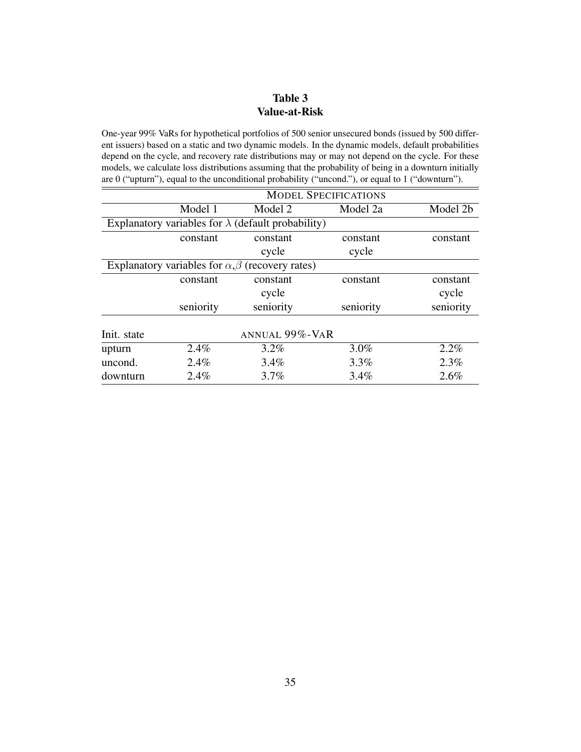### Table 3 Value-at-Risk

One-year 99% VaRs for hypothetical portfolios of 500 senior unsecured bonds (issued by 500 different issuers) based on a static and two dynamic models. In the dynamic models, default probabilities depend on the cycle, and recovery rate distributions may or may not depend on the cycle. For these models, we calculate loss distributions assuming that the probability of being in a downturn initially are 0 ("upturn"), equal to the unconditional probability ("uncond."), or equal to 1 ("downturn").

|                                                               | <b>MODEL SPECIFICATIONS</b> |                |           |           |  |  |  |  |  |
|---------------------------------------------------------------|-----------------------------|----------------|-----------|-----------|--|--|--|--|--|
|                                                               | Model 1                     | Model 2        | Model 2a  | Model 2b  |  |  |  |  |  |
| Explanatory variables for $\lambda$ (default probability)     |                             |                |           |           |  |  |  |  |  |
|                                                               | constant                    | constant       | constant  | constant  |  |  |  |  |  |
|                                                               |                             | cycle          | cycle     |           |  |  |  |  |  |
| Explanatory variables for $\alpha$ , $\beta$ (recovery rates) |                             |                |           |           |  |  |  |  |  |
|                                                               | constant                    | constant       | constant  | constant  |  |  |  |  |  |
|                                                               |                             |                | cycle     |           |  |  |  |  |  |
|                                                               | seniority                   | seniority      | seniority | seniority |  |  |  |  |  |
| Init. state                                                   |                             | ANNUAL 99%-VAR |           |           |  |  |  |  |  |
| upturn                                                        | 2.4%                        | $3.2\%$        | $3.0\%$   | 2.2%      |  |  |  |  |  |
| uncond.                                                       | 2.4%                        | 3.4%           | 3.3%      | 2.3%      |  |  |  |  |  |
| downturn                                                      | 2.4%                        | $3.7\%$        | $3.4\%$   | 2.6%      |  |  |  |  |  |